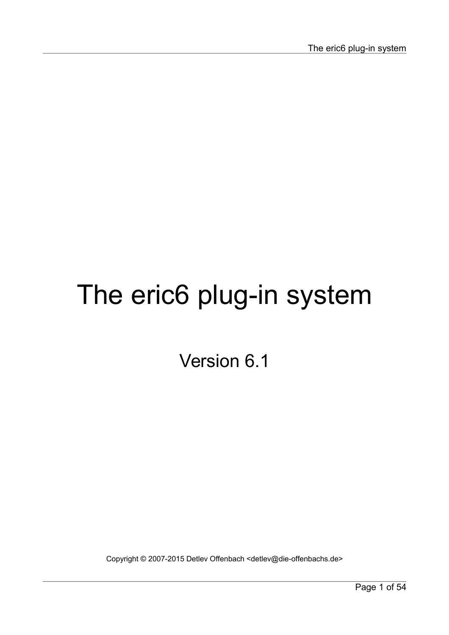# The eric6 plug-in system

Version 6.1

Copyright © 2007-2015 Detlev Offenbach <detlev@die-offenbachs.de>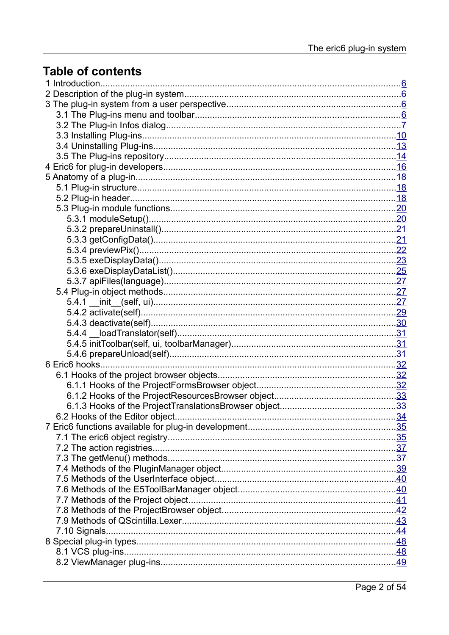# **Table of contents**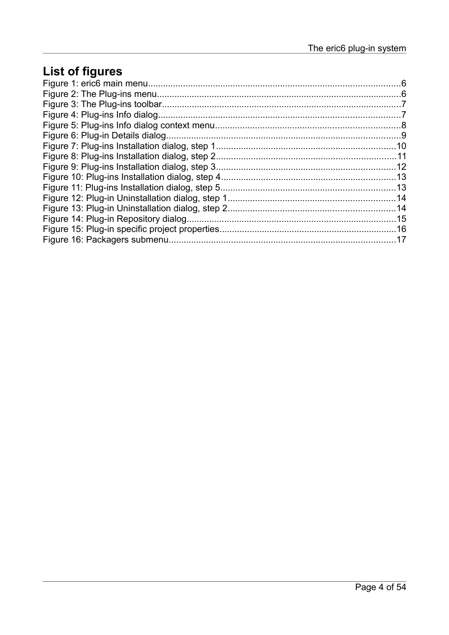# **List of figures**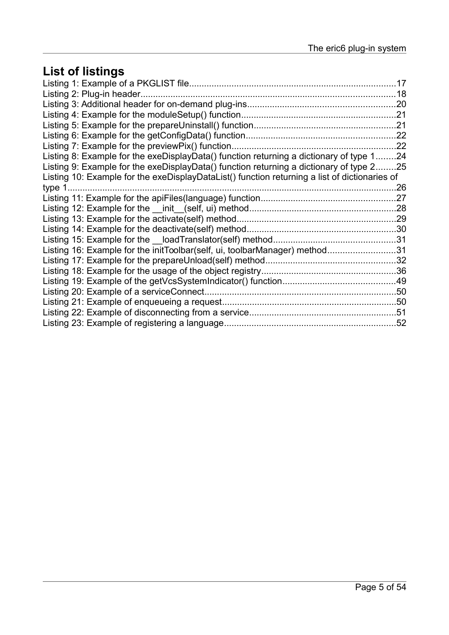# **List of listings**

|                                                                                               | 17  |
|-----------------------------------------------------------------------------------------------|-----|
| Listing 2: Plug-in header                                                                     | 18  |
|                                                                                               |     |
|                                                                                               |     |
|                                                                                               |     |
|                                                                                               |     |
| Listing 7: Example for the previewPix() function                                              | 22  |
| Listing 8: Example for the exeDisplayData() function returning a dictionary of type 124       |     |
| Listing 9: Example for the exeDisplayData() function returning a dictionary of type 225       |     |
| Listing 10: Example for the exeDisplayDataList() function returning a list of dictionaries of |     |
| type 1                                                                                        | .26 |
|                                                                                               | .27 |
|                                                                                               |     |
|                                                                                               |     |
|                                                                                               |     |
|                                                                                               |     |
| Listing 16: Example for the initToolbar(self, ui, toolbarManager) method31                    |     |
|                                                                                               |     |
|                                                                                               |     |
|                                                                                               |     |
| Listing 20: Example of a service Connect                                                      |     |
|                                                                                               |     |
|                                                                                               |     |
| Listing 23: Example of registering a language.                                                | .52 |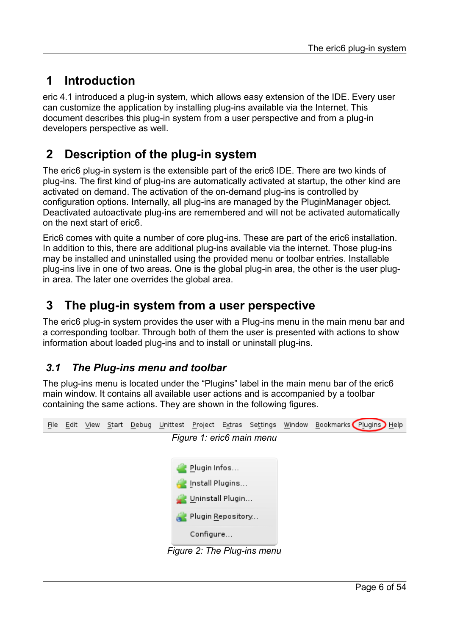# <span id="page-5-3"></span> **1 Introduction**

eric 4.1 introduced a plug-in system, which allows easy extension of the IDE. Every user can customize the application by installing plug-ins available via the Internet. This document describes this plug-in system from a user perspective and from a plug-in developers perspective as well.

# <span id="page-5-2"></span> **2 Description of the plug-in system**

The eric6 plug-in system is the extensible part of the eric6 IDE. There are two kinds of plug-ins. The first kind of plug-ins are automatically activated at startup, the other kind are activated on demand. The activation of the on-demand plug-ins is controlled by configuration options. Internally, all plug-ins are managed by the PluginManager object. Deactivated autoactivate plug-ins are remembered and will not be activated automatically on the next start of eric6.

Eric6 comes with quite a number of core plug-ins. These are part of the eric6 installation. In addition to this, there are additional plug-ins available via the internet. Those plug-ins may be installed and uninstalled using the provided menu or toolbar entries. Installable plug-ins live in one of two areas. One is the global plug-in area, the other is the user plugin area. The later one overrides the global area.

# <span id="page-5-1"></span> **3 The plug-in system from a user perspective**

The eric6 plug-in system provides the user with a Plug-ins menu in the main menu bar and a corresponding toolbar. Through both of them the user is presented with actions to show information about loaded plug-ins and to install or uninstall plug-ins.

## <span id="page-5-0"></span> *3.1 The Plug-ins menu and toolbar*

The plug-ins menu is located under the "Plugins" label in the main menu bar of the eric6 main window. It contains all available user actions and is accompanied by a toolbar containing the same actions. They are shown in the following figures.

| File | Edit View |  |                   |                             | Start Debug Unittest Project Extras Settings Window Bookmarks Plugins Help |
|------|-----------|--|-------------------|-----------------------------|----------------------------------------------------------------------------|
|      |           |  |                   | Figure 1: eric6 main menu   |                                                                            |
|      |           |  |                   |                             |                                                                            |
|      |           |  | Plugin Infos      |                             |                                                                            |
|      |           |  | Install Plugins   |                             |                                                                            |
|      |           |  | Uninstall Plugin  |                             |                                                                            |
|      |           |  | Plugin Repository |                             |                                                                            |
|      |           |  | Configure         |                             |                                                                            |
|      |           |  |                   | Figure 2: The Plug-ins menu |                                                                            |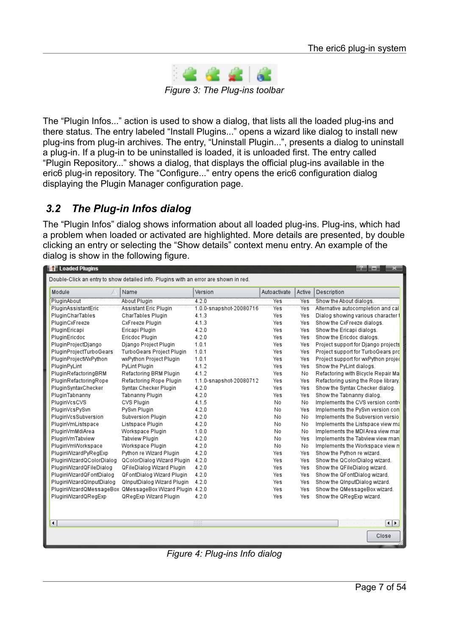

*Figure 3: The Plug-ins toolbar*

The "Plugin Infos..." action is used to show a dialog, that lists all the loaded plug-ins and there status. The entry labeled "Install Plugins..." opens a wizard like dialog to install new plug-ins from plug-in archives. The entry, "Uninstall Plugin...", presents a dialog to uninstall a plug-in. If a plug-in to be uninstalled is loaded, it is unloaded first. The entry called "Plugin Repository..." shows a dialog, that displays the official plug-ins available in the eric6 plug-in repository. The "Configure..." entry opens the eric6 configuration dialog displaying the Plugin Manager configuration page.

#### <span id="page-6-0"></span> *3.2 The Plug-in Infos dialog*

The "Plugin Infos" dialog shows information about all loaded plug-ins. Plug-ins, which had a problem when loaded or activated are highlighted. More details are presented, by double clicking an entry or selecting the "Show details" context menu entry. An example of the dialog is show in the following figure.

| <b>Exp</b> Loaded Plugins |                                                                                      |                         |              |        | 2 H H H<br>×                        |
|---------------------------|--------------------------------------------------------------------------------------|-------------------------|--------------|--------|-------------------------------------|
|                           | Double-Click an entry to show detailed info. Plugins with an error are shown in red. |                         |              |        |                                     |
| Module                    | Name                                                                                 | Version                 | Autoactivate | Active | Description                         |
| PluginAbout               | About Plugin                                                                         | 4.2.0                   | <b>Yes</b>   | Yes    | Show the About dialogs.             |
| PluginAssistantEric       | Assistant Eric Plugin                                                                | 1.0.0-snapshot-20080716 | Yes          | Yes    | Alternative autocompletion and cal  |
| PluginCharTables          | CharTables Plugin                                                                    | 4.1.3                   | Yes          | Yes    | Dialog showing various character f  |
| PluginCxFreeze            | CxFreeze Plugin                                                                      | 4.1.3                   | Yes          | Yes    | Show the CxFreeze dialogs.          |
| PluginEricapi             | Ericapi Plugin                                                                       | 4.2.0                   | Yes          | Yes    | Show the Ericapi dialogs.           |
| PluginEricdoc             | Ericdoc Plugin                                                                       | 4.2.0                   | Yes          | Yes    | Show the Ericdoc dialogs.           |
| PluginProjectDjango       | Django Project Plugin                                                                | 1.0.1                   | Yes          | Yes    | Project support for Django projects |
| PluginProjectTurboGears   | TurboGears Project Plugin                                                            | 1.0.1                   | Yes          | Yes    | Project support for TurboGears pro  |
| PluginProjectWxPython     | wxPython Project Plugin                                                              | 1.0.1                   | Yes          | Yes    | Project support for wxPython projec |
| PluginPyLint              | PyLint Plugin                                                                        | 4.1.2                   | Yes          | Yes    | Show the PyLint dialogs.            |
| PluginRefactoringBRM      | Refactoring BRM Plugin                                                               | 4.1.2                   | Yes          | No     | Refactoring with Bicycle Repair Ma  |
| PluginRefactoringRope     | Refactoring Rope Plugin                                                              | 1.1.0-snapshot-20080712 | Yes          | Yes    | Refactoring using the Rope library. |
| PluginSyntaxChecker       | Syntax Checker Plugin                                                                | 4.2.0                   | Yes          | Yes    | Show the Syntax Checker dialog.     |
| PluginTabnanny            | Tabnanny Plugin                                                                      | 4.2.0                   | Yes          | Yes    | Show the Tabnanny dialog.           |
| PluginVcsCVS              | CVS Plugin                                                                           | 4.1.5                   | No           | No     | Implements the CVS version control  |
| PluginVcsPySvn            | PySvn Plugin                                                                         | 4.2.0                   | No           | Yes    | Implements the PySyn version con    |
| PluginVcsSubversion       | Subversion Plugin                                                                    | 4.2.0                   | No           | No     | Implements the Subversion versio    |
| PluginVmListspace         | Listspace Plugin                                                                     | 4.2.0                   | No           | No     | Implements the Listspace view ma    |
| PluginVmMdiArea           | Workspace Plugin                                                                     | 1.0.0                   | No           | No     | Implements the MDI Area view mar    |
| PluginVmTabview           | Tabview Plugin                                                                       | 4.2.0                   | No           | Yes    | Implements the Tabview view man     |
| PluginVmWorkspace         | Workspace Plugin                                                                     | 4.2.0                   | No           | No     | Implements the Workspace view n     |
| PluginWizardPyRegExp      | Python re Wizard Plugin                                                              | 4.2.0                   | Yes          | Yes    | Show the Python re wizard.          |
| PluginWizardQColorDialog  | QColorDialog Wizard Plugin                                                           | 4.2.0                   | Yes          | Yes    | Show the QColorDialog wizard.       |
| PluginWizardQFileDialog   | QFileDialog Wizard Plugin                                                            | 4.2.0                   | Yes          | Yes    | Show the QFileDialog wizard.        |
| PluginWizardQFontDialog   | QFontDialog Wizard Plugin                                                            | 4.2.0                   | Yes          | Yes    | Show the QFontDialog wizard.        |
| PluginWizardQInputDialog  | QInputDialog Wizard Plugin                                                           | 4.2.0                   | Yes          | Yes    | Show the QinputDialog wizard.       |
|                           | PluginWizardQMessageBox QMessageBox Wizard Plugin 4.2.0                              |                         | Yes          | Yes    | Show the QMessageBox wizard.        |
| PluginWizardQRegExp       | QRegExp Wizard Plugin                                                                | 4.2.0                   | Yes          | Yes    | Show the QRegExp wizard.            |
|                           |                                                                                      |                         |              |        |                                     |
|                           |                                                                                      |                         |              |        |                                     |
| $\overline{\phantom{a}}$  |                                                                                      | 11111                   |              |        | ⊣⊪                                  |
|                           |                                                                                      |                         |              |        | Close                               |
|                           |                                                                                      |                         |              |        |                                     |

*Figure 4: Plug-ins Info dialog*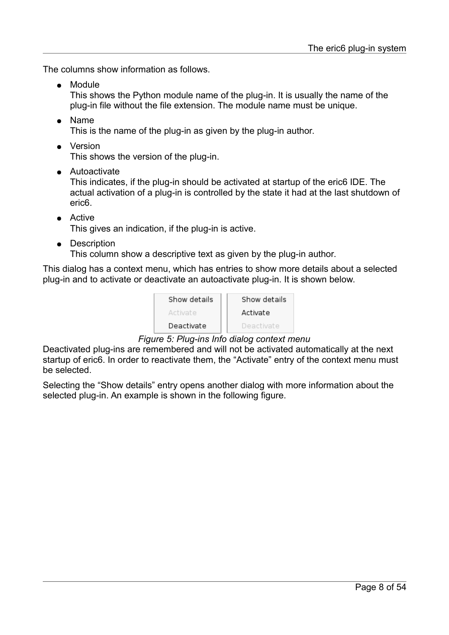The columns show information as follows.

- Module This shows the Python module name of the plug-in. It is usually the name of the plug-in file without the file extension. The module name must be unique.
- Name This is the name of the plug-in as given by the plug-in author.
- Version

This shows the version of the plug-in.

● Autoactivate

This indicates, if the plug-in should be activated at startup of the eric6 IDE. The actual activation of a plug-in is controlled by the state it had at the last shutdown of eric6.

● Active

This gives an indication, if the plug-in is active.

● Description

This column show a descriptive text as given by the plug-in author.

This dialog has a context menu, which has entries to show more details about a selected plug-in and to activate or deactivate an autoactivate plug-in. It is shown below.

| Show details | Show details |
|--------------|--------------|
| Activate     | Activate     |
| Deactivate   | Deactivate   |

#### *Figure 5: Plug-ins Info dialog context menu*

Deactivated plug-ins are remembered and will not be activated automatically at the next startup of eric6. In order to reactivate them, the "Activate" entry of the context menu must be selected.

Selecting the "Show details" entry opens another dialog with more information about the selected plug-in. An example is shown in the following figure.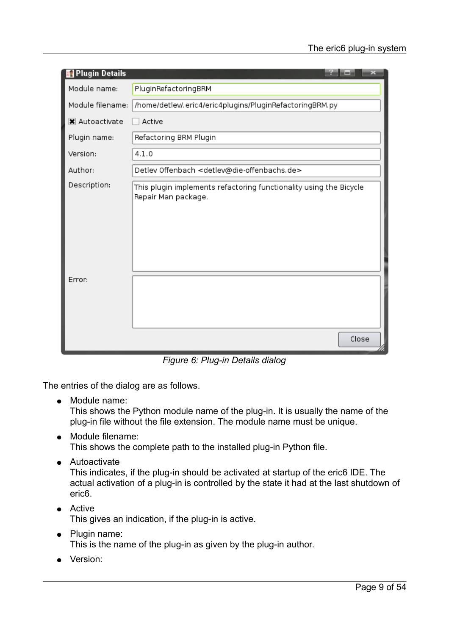| Plugin Details   |                                                                                           |
|------------------|-------------------------------------------------------------------------------------------|
| Module name:     | PluginRefactoringBRM                                                                      |
| Module filename: | /home/detlev/.eric4/eric4plugins/PluginRefactoringBRM.py                                  |
| X Autoactivate   | Active                                                                                    |
| Plugin name:     | Refactoring BRM Plugin                                                                    |
| Version:         | 4.1.0                                                                                     |
| Author:          | Detlev Offenbach <detlev@die-offenbachs.de></detlev@die-offenbachs.de>                    |
| Description:     | This plugin implements refactoring functionality using the Bicycle<br>Repair Man package. |
| Error:           | Close                                                                                     |

*Figure 6: Plug-in Details dialog*

The entries of the dialog are as follows.

● Module name:

This shows the Python module name of the plug-in. It is usually the name of the plug-in file without the file extension. The module name must be unique.

- Module filename: This shows the complete path to the installed plug-in Python file.
- Autoactivate

This indicates, if the plug-in should be activated at startup of the eric6 IDE. The actual activation of a plug-in is controlled by the state it had at the last shutdown of eric6.

- Active This gives an indication, if the plug-in is active.
- Plugin name: This is the name of the plug-in as given by the plug-in author.
- Version: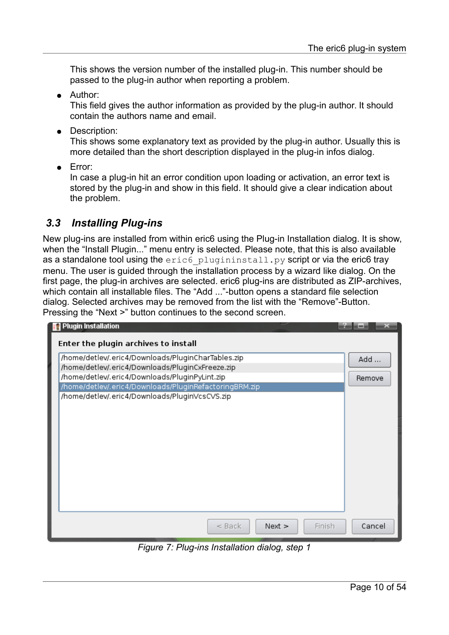This shows the version number of the installed plug-in. This number should be passed to the plug-in author when reporting a problem.

● Author:

This field gives the author information as provided by the plug-in author. It should contain the authors name and email.

● Description:

This shows some explanatory text as provided by the plug-in author. Usually this is more detailed than the short description displayed in the plug-in infos dialog.

● Error:

In case a plug-in hit an error condition upon loading or activation, an error text is stored by the plug-in and show in this field. It should give a clear indication about the problem.

#### <span id="page-9-0"></span> *3.3 Installing Plug-ins*

New plug-ins are installed from within eric6 using the Plug-in Installation dialog. It is show, when the "Install Plugin..." menu entry is selected. Please note, that this is also available as a standalone tool using the eric6 plugininstall.py script or via the eric6 tray menu. The user is guided through the installation process by a wizard like dialog. On the first page, the plug-in archives are selected. eric6 plug-ins are distributed as ZIP-archives, which contain all installable files. The "Add ..."-button opens a standard file selection dialog. Selected archives may be removed from the list with the "Remove"-Button. Pressing the "Next >" button continues to the second screen.

| <b>Plugin Installation</b><br>Enter the plugin archives to install                                       |                  |
|----------------------------------------------------------------------------------------------------------|------------------|
| /home/detlev/.eric4/Downloads/PluginCharTables.zip                                                       | Add              |
| /home/detlev/.eric4/Downloads/PluginCxFreeze.zip                                                         |                  |
| /home/detlev/.eric4/Downloads/PluginPyLint.zip                                                           | Remove           |
| /home/detlev/.eric4/Downloads/PluginRefactoringBRM.zip<br>/home/detlev/.eric4/Downloads/PluginVcsCVS.zip |                  |
|                                                                                                          |                  |
|                                                                                                          |                  |
|                                                                                                          |                  |
|                                                                                                          |                  |
|                                                                                                          |                  |
|                                                                                                          |                  |
|                                                                                                          |                  |
|                                                                                                          |                  |
|                                                                                                          |                  |
|                                                                                                          |                  |
| $<$ Back<br>Next >                                                                                       | Cancel<br>Finish |

*Figure 7: Plug-ins Installation dialog, step 1*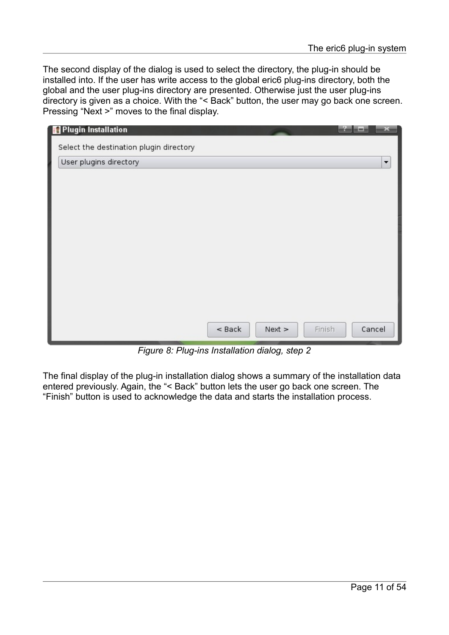The second display of the dialog is used to select the directory, the plug-in should be installed into. If the user has write access to the global eric6 plug-ins directory, both the global and the user plug-ins directory are presented. Otherwise just the user plug-ins directory is given as a choice. With the "< Back" button, the user may go back one screen. Pressing "Next >" moves to the final display.

| Plugin Installation                                               |                    |                          |
|-------------------------------------------------------------------|--------------------|--------------------------|
| Select the destination plugin directory<br>User plugins directory |                    | $\overline{\phantom{a}}$ |
|                                                                   |                    |                          |
|                                                                   |                    |                          |
|                                                                   |                    |                          |
|                                                                   |                    |                          |
|                                                                   |                    |                          |
|                                                                   |                    |                          |
|                                                                   |                    |                          |
|                                                                   | $<$ Back<br>Next > | Finish<br>Cancel         |

*Figure 8: Plug-ins Installation dialog, step 2*

The final display of the plug-in installation dialog shows a summary of the installation data entered previously. Again, the "< Back" button lets the user go back one screen. The "Finish" button is used to acknowledge the data and starts the installation process.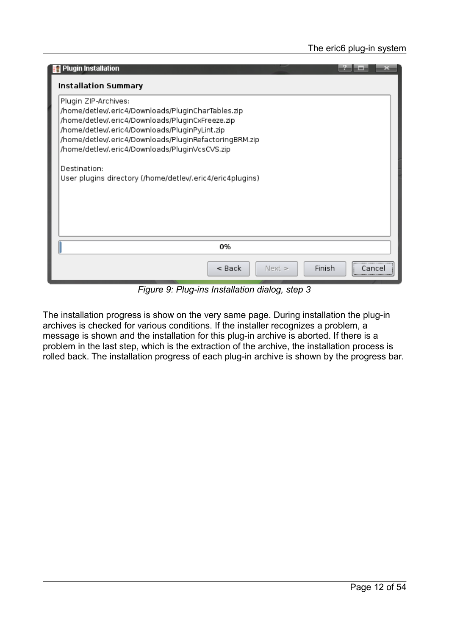| <b>Plugin Installation</b>                                                                         |        |            |
|----------------------------------------------------------------------------------------------------|--------|------------|
| Installation Summary                                                                               |        |            |
| Plugin ZIP-Archives:                                                                               |        |            |
| /home/detlev/.eric4/Downloads/PluginCharTables.zip                                                 |        |            |
| /home/detlev/.eric4/Downloads/PluginCxFreeze.zip<br>/home/detlev/.eric4/Downloads/PluginPyLint.zip |        |            |
| /home/detlev/.eric4/Downloads/PluginRefactoringBRM.zip                                             |        |            |
| /home/detlev/.eric4/Downloads/PluginVcsCVS.zip                                                     |        |            |
|                                                                                                    |        |            |
| Destination:                                                                                       |        |            |
| User plugins directory (/home/detlev/.eric4/eric4plugins)                                          |        |            |
|                                                                                                    |        |            |
|                                                                                                    |        |            |
|                                                                                                    |        |            |
|                                                                                                    |        |            |
| 0%                                                                                                 |        |            |
| $8$ Back<br>Next >                                                                                 | Finish | Cancel<br> |

*Figure 9: Plug-ins Installation dialog, step 3*

The installation progress is show on the very same page. During installation the plug-in archives is checked for various conditions. If the installer recognizes a problem, a message is shown and the installation for this plug-in archive is aborted. If there is a problem in the last step, which is the extraction of the archive, the installation process is rolled back. The installation progress of each plug-in archive is shown by the progress bar.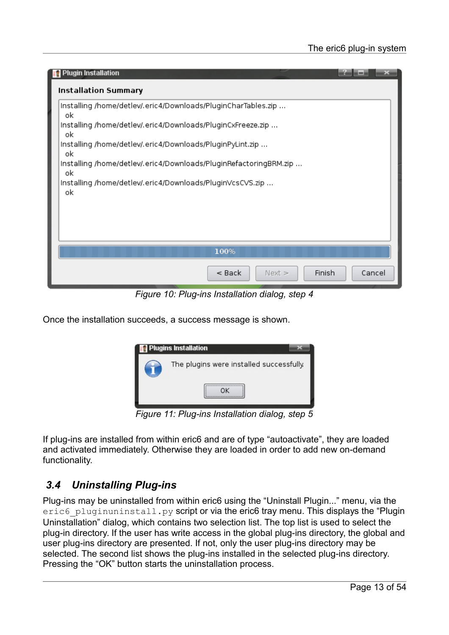| <b>Plugin Installation</b>                                              |
|-------------------------------------------------------------------------|
| Installation Summary                                                    |
| Installing /home/detlev/.eric4/Downloads/PluginCharTables.zip<br>οk     |
| Installing /home/detlev/.eric4/Downloads/PluginCxFreeze.zip<br>ok       |
| Installing /home/detlev/.eric4/Downloads/PluginPyLint.zip<br>оk         |
| Installing /home/detlev/.eric4/Downloads/PluginRefactoringBRM.zip<br>οk |
| Installing /home/detlev/.eric4/Downloads/PluginVcsCVS.zip<br>οk         |
|                                                                         |
|                                                                         |
| 100%                                                                    |
| Finish<br>$<$ Back<br>Cancel<br>Next >                                  |

*Figure 10: Plug-ins Installation dialog, step 4*

Once the installation succeeds, a success message is shown.



*Figure 11: Plug-ins Installation dialog, step 5*

If plug-ins are installed from within eric6 and are of type "autoactivate", they are loaded and activated immediately. Otherwise they are loaded in order to add new on-demand functionality.

#### <span id="page-12-0"></span> *3.4 Uninstalling Plug-ins*

Plug-ins may be uninstalled from within eric6 using the "Uninstall Plugin..." menu, via the eric6 pluginuninstall.py script or via the eric6 tray menu. This displays the "Plugin Uninstallation" dialog, which contains two selection list. The top list is used to select the plug-in directory. If the user has write access in the global plug-ins directory, the global and user plug-ins directory are presented. If not, only the user plug-ins directory may be selected. The second list shows the plug-ins installed in the selected plug-ins directory. Pressing the "OK" button starts the uninstallation process.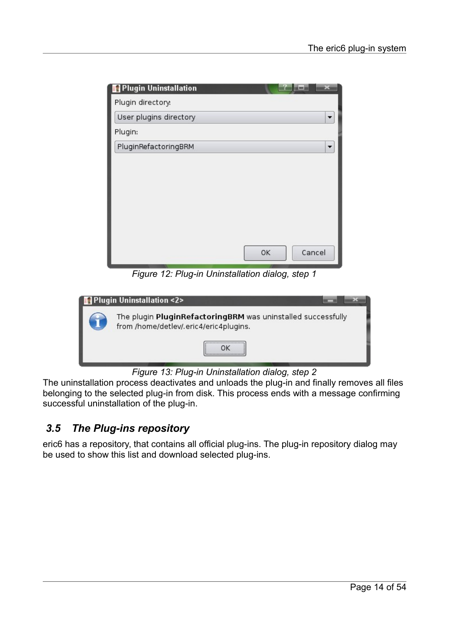| Plugin Uninstallation  |              |
|------------------------|--------------|
| Plugin directory:      |              |
| User plugins directory |              |
| Plugin:                |              |
| PluginRefactoringBRM   | ▼            |
|                        |              |
|                        |              |
|                        |              |
|                        |              |
|                        |              |
|                        |              |
|                        | Cancel<br>OK |
|                        |              |

*Figure 12: Plug-in Uninstallation dialog, step 1*

| Plugin Uninstallation <2>                                                                              |
|--------------------------------------------------------------------------------------------------------|
| The plugin PluginRefactoringBRM was uninstalled successfully<br>from /home/detlev/.eric4/eric4plugins. |
|                                                                                                        |

*Figure 13: Plug-in Uninstallation dialog, step 2*

The uninstallation process deactivates and unloads the plug-in and finally removes all files belonging to the selected plug-in from disk. This process ends with a message confirming successful uninstallation of the plug-in.

#### <span id="page-13-0"></span> *3.5 The Plug-ins repository*

eric6 has a repository, that contains all official plug-ins. The plug-in repository dialog may be used to show this list and download selected plug-ins.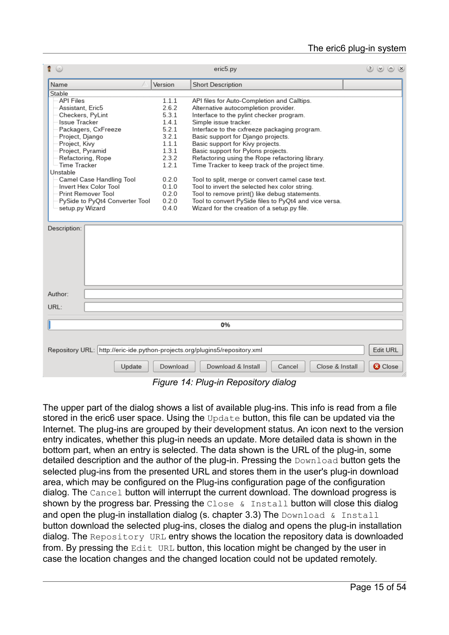| $\bullet$                                                                   |                | eric5.py                                                                                       | $(2)$ $(2)$ $(3)$ $(3)$ |
|-----------------------------------------------------------------------------|----------------|------------------------------------------------------------------------------------------------|-------------------------|
| Name                                                                        | Version        | <b>Short Description</b>                                                                       |                         |
| Stable                                                                      |                |                                                                                                |                         |
| <b>API Files</b>                                                            | 1.1.1          | API files for Auto-Completion and Calltips.                                                    |                         |
| Assistant, Eric5                                                            | 2.6.2          | Alternative autocompletion provider.                                                           |                         |
| Checkers, PyLint                                                            | 5.3.1          | Interface to the pylint checker program.                                                       |                         |
| <b>Issue Tracker</b>                                                        | 141            | Simple issue tracker.                                                                          |                         |
| Packagers, CxFreeze                                                         | 5.2.1          | Interface to the cxfreeze packaging program.                                                   |                         |
| Project, Django                                                             | 3.2.1          | Basic support for Django projects.                                                             |                         |
| Project, Kivy                                                               | 1.1.1          | Basic support for Kivy projects.                                                               |                         |
| Project, Pyramid                                                            | 1.3.1          | Basic support for Pylons projects.                                                             |                         |
| Refactoring, Rope                                                           | 2.3.2          | Refactoring using the Rope refactoring library.                                                |                         |
| Time Tracker                                                                | 1.2.1          | Time Tracker to keep track of the project time.                                                |                         |
| Unstable                                                                    |                |                                                                                                |                         |
| Camel Case Handling Tool<br>Invert Hex Color Tool                           | 0.2.0<br>0.1.0 | Tool to split, merge or convert camel case text.                                               |                         |
| Print Remover Tool                                                          | 0.2.0          | Tool to invert the selected hex color string.<br>Tool to remove print() like debug statements. |                         |
| PySide to PyQt4 Converter Tool                                              | 0.2.0          | Tool to convert PySide files to PyQt4 and vice versa.                                          |                         |
| setup.py Wizard                                                             | 0.4.0          | Wizard for the creation of a setup.py file.                                                    |                         |
|                                                                             |                |                                                                                                |                         |
|                                                                             |                |                                                                                                |                         |
|                                                                             |                |                                                                                                |                         |
| Author:                                                                     |                |                                                                                                |                         |
| URL:                                                                        |                |                                                                                                |                         |
|                                                                             |                |                                                                                                |                         |
|                                                                             |                | 0%                                                                                             |                         |
|                                                                             |                |                                                                                                |                         |
| Repository URL: http://eric-ide.python-projects.org/plugins5/repository.xml |                |                                                                                                | <b>Edit URL</b>         |
| Update                                                                      | Download       | Download & Install<br>Close & Install<br>Cancel                                                | <b>O</b> Close          |

*Figure 14: Plug-in Repository dialog*

The upper part of the dialog shows a list of available plug-ins. This info is read from a file stored in the eric6 user space. Using the Update button, this file can be updated via the Internet. The plug-ins are grouped by their development status. An icon next to the version entry indicates, whether this plug-in needs an update. More detailed data is shown in the bottom part, when an entry is selected. The data shown is the URL of the plug-in, some detailed description and the author of the plug-in. Pressing the Download button gets the selected plug-ins from the presented URL and stores them in the user's plug-in download area, which may be configured on the Plug-ins configuration page of the configuration dialog. The Cancel button will interrupt the current download. The download progress is shown by the progress bar. Pressing the Close & Install button will close this dialog and open the plug-in installation dialog (s. chapter [3.3\)](#page-9-0) The  $Download & Institut$ button download the selected plug-ins, closes the dialog and opens the plug-in installation dialog. The Repository URL entry shows the location the repository data is downloaded from. By pressing the Edit URL button, this location might be changed by the user in case the location changes and the changed location could not be updated remotely.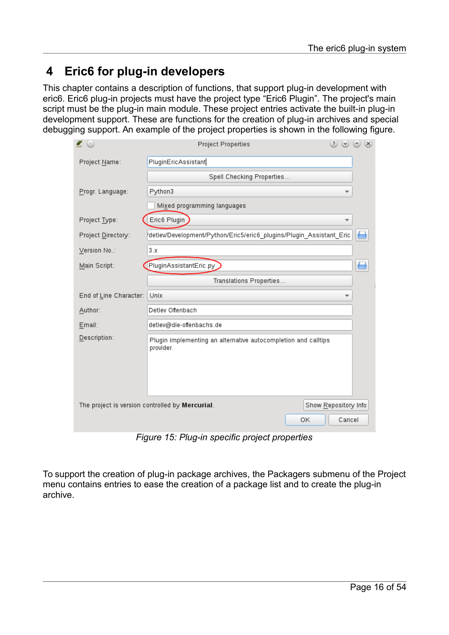## <span id="page-15-0"></span> **4 Eric6 for plug-in developers**

This chapter contains a description of functions, that support plug-in development with eric6. Eric6 plug-in projects must have the project type "Eric6 Plugin". The project's main script must be the plug-in main module. These project entries activate the built-in plug-in development support. These are functions for the creation of plug-in archives and special debugging support. An example of the project properties is shown in the following figure.

| $\blacksquare$         | Project Properties                                                            | $(2)$ $(2)$ $(3)$ $(3)$ |
|------------------------|-------------------------------------------------------------------------------|-------------------------|
| Project Name:          | PluginEricAssistant                                                           |                         |
|                        | Spell Checking Properties                                                     |                         |
| Progr. Language:       | Python3                                                                       |                         |
|                        | Mixed programming languages                                                   |                         |
| Project Type:          | Eric6 Plugin                                                                  |                         |
| Project Directory:     | detlev/Development/Python/Eric5/eric6_plugins/Plugin_Assistant_Eric           |                         |
| Version No.:           | 3.x                                                                           |                         |
| Main Script:           | PluginAssistantEric.py                                                        |                         |
|                        | Translations Properties                                                       |                         |
| End of Line Character: | Unix                                                                          |                         |
| Author:                | Detlev Offenbach                                                              |                         |
| Email:                 | detlev@die-offenbachs.de                                                      |                         |
| Description:           | Plugin implementing an alternative autocompletion and calltips<br>provider.   |                         |
|                        | The project is version controlled by Mercurial.<br>Show Repository Info<br>OK | Cancel                  |

*Figure 15: Plug-in specific project properties*

To support the creation of plug-in package archives, the Packagers submenu of the Project menu contains entries to ease the creation of a package list and to create the plug-in archive.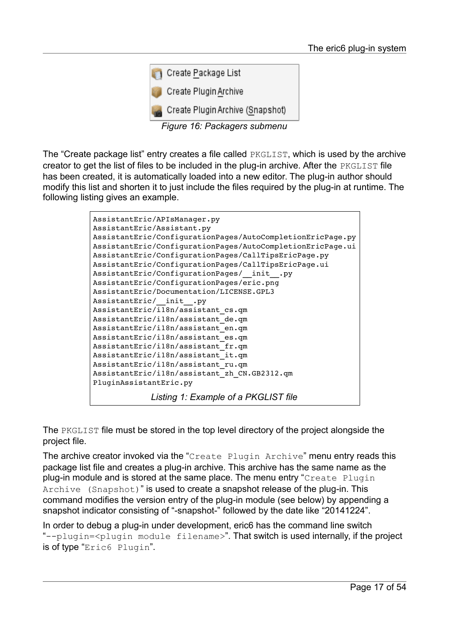

*Figure 16: Packagers submenu*

The "Create package list" entry creates a file called PKGLIST, which is used by the archive creator to get the list of files to be included in the plug-in archive. After the PKGLIST file has been created, it is automatically loaded into a new editor. The plug-in author should modify this list and shorten it to just include the files required by the plug-in at runtime. The following listing gives an example.

```
AssistantEric/APIsManager.py
AssistantEric/Assistant.py
AssistantEric/ConfigurationPages/AutoCompletionEricPage.py
AssistantEric/ConfigurationPages/AutoCompletionEricPage.ui
AssistantEric/ConfigurationPages/CallTipsEricPage.py
AssistantEric/ConfigurationPages/CallTipsEricPage.ui
AssistantEric/ConfigurationPages/ init .py
AssistantEric/ConfigurationPages/eric.png
AssistantEric/Documentation/LICENSE.GPL3
AssistantEric/__init__.py
AssistantEric/\overline{118n/a}ssistant cs.qm
AssistantEric/i18n/assistant_de.qm
AssistantEric/i18n/assistant_en.qm
AssistantEric/i18n/assistant_es.qm
AssistantEric/i18n/assistant_fr.qm
AssistantEric/i18n/assistant_it.qm
AssistantEric/i18n/assistant_ru.qm
AssistantEric/i18n/assistant_zh_CN.GB2312.qm
PluginAssistantEric.py
             Listing 1: Example of a PKGLIST file
```
The PKGLIST file must be stored in the top level directory of the project alongside the project file.

The archive creator invoked via the "Create Plugin Archive" menu entry reads this package list file and creates a plug-in archive. This archive has the same name as the plug-in module and is stored at the same place. The menu entry "Create Plugin Archive (Snapshot)" is used to create a snapshot release of the plug-in. This command modifies the version entry of the plug-in module (see below) by appending a snapshot indicator consisting of "-snapshot-" followed by the date like "20141224".

In order to debug a plug-in under development, eric6 has the command line switch "--plugin=<plugin module filename>". That switch is used internally, if the project is of type "Eric6 Plugin".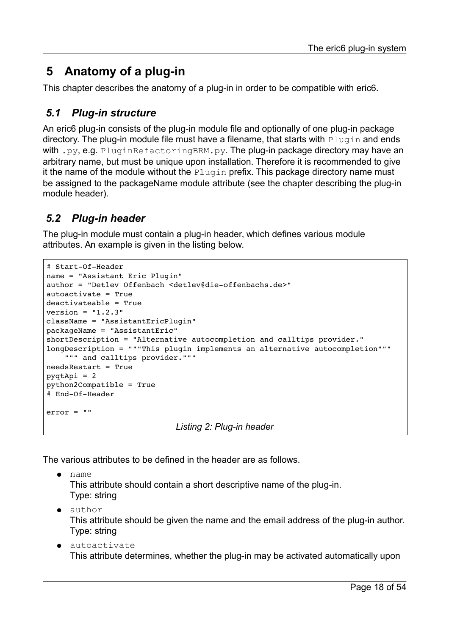## <span id="page-17-2"></span> **5 Anatomy of a plug-in**

This chapter describes the anatomy of a plug-in in order to be compatible with eric6.

#### <span id="page-17-1"></span> *5.1 Plug-in structure*

An eric6 plug-in consists of the plug-in module file and optionally of one plug-in package directory. The plug-in module file must have a filename, that starts with Plugin and ends with .py, e.g. PluginRefactoringBRM.py. The plug-in package directory may have an arbitrary name, but must be unique upon installation. Therefore it is recommended to give it the name of the module without the Plugin prefix. This package directory name must be assigned to the packageName module attribute (see the chapter describing the plug-in module header).

#### <span id="page-17-0"></span> *5.2 Plug-in header*

The plug-in module must contain a plug-in header, which defines various module attributes. An example is given in the listing below.

```
# Start-Of-Header
name = "Assistant Eric Plugin"
author = "Detlev Offenbach <detlev@die-offenbachs.de>"
autoactivate = True
deactivateable = True
version = "1.2.3"className = "AssistantEricPlugin"
packageName = "AssistantEric"
shortDescription = "Alternative autocompletion and calltips provider."
longDescription = """This plugin implements an alternative autocompletion"""
        """ and calltips provider."""
needsRestart = True
pyqtApi = 2
python2Compatible = True
# End-Of-Header
error = ""
                             Listing 2: Plug-in header
```
The various attributes to be defined in the header are as follows.

name This attribute should contain a short descriptive name of the plug-in. Type: string

● author

This attribute should be given the name and the email address of the plug-in author. Type: string

● autoactivate This attribute determines, whether the plug-in may be activated automatically upon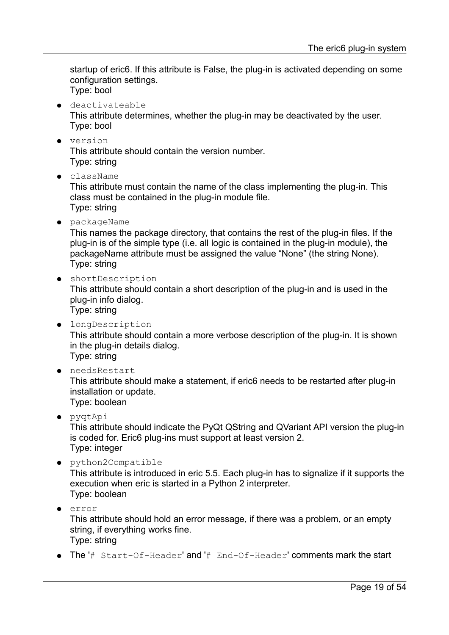startup of eric6. If this attribute is False, the plug-in is activated depending on some configuration settings. Type: bool

- 
- deactivateable

This attribute determines, whether the plug-in may be deactivated by the user. Type: bool

● version

This attribute should contain the version number. Type: string

● className

This attribute must contain the name of the class implementing the plug-in. This class must be contained in the plug-in module file. Type: string

● packageName

This names the package directory, that contains the rest of the plug-in files. If the plug-in is of the simple type (i.e. all logic is contained in the plug-in module), the packageName attribute must be assigned the value "None" (the string None). Type: string

● shortDescription

This attribute should contain a short description of the plug-in and is used in the plug-in info dialog.

Type: string

- longDescription This attribute should contain a more verbose description of the plug-in. It is shown in the plug-in details dialog. Type: string
- needsRestart

This attribute should make a statement, if eric6 needs to be restarted after plug-in installation or update. Type: boolean

● pyqtApi

This attribute should indicate the PyQt QString and QVariant API version the plug-in is coded for. Eric6 plug-ins must support at least version 2. Type: integer

● python2Compatible

This attribute is introduced in eric 5.5. Each plug-in has to signalize if it supports the execution when eric is started in a Python 2 interpreter. Type: boolean

● error

This attribute should hold an error message, if there was a problem, or an empty string, if everything works fine. Type: string

 $\bullet$  The '# Start-Of-Header' and '# End-Of-Header' comments mark the start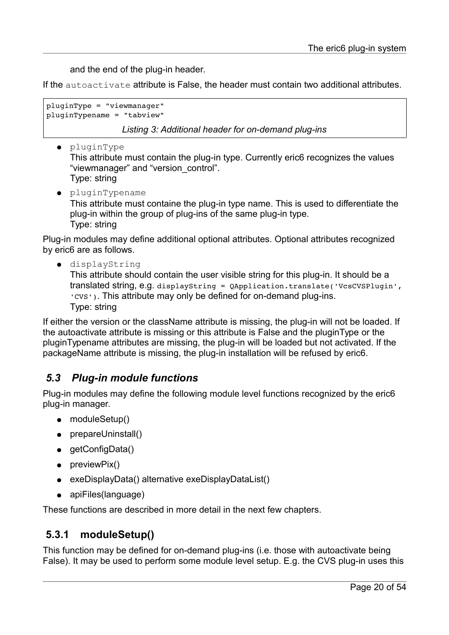and the end of the plug-in header.

If the autoactivate attribute is False, the header must contain two additional attributes.

```
pluginType = "viewmanager"
pluginTypename = "tabview"
```
*Listing 3: Additional header for on-demand plug-ins*

● pluginType

This attribute must contain the plug-in type. Currently eric6 recognizes the values "viewmanager" and "version\_control". Type: string

● pluginTypename

This attribute must containe the plug-in type name. This is used to differentiate the plug-in within the group of plug-ins of the same plug-in type. Type: string

Plug-in modules may define additional optional attributes. Optional attributes recognized by eric6 are as follows.

● displayString

This attribute should contain the user visible string for this plug-in. It should be a translated string, e.g. displayString = QApplication.translate('VcsCVSPlugin', 'CVS'). This attribute may only be defined for on-demand plug-ins. Type: string

If either the version or the className attribute is missing, the plug-in will not be loaded. If the autoactivate attribute is missing or this attribute is False and the pluginType or the pluginTypename attributes are missing, the plug-in will be loaded but not activated. If the packageName attribute is missing, the plug-in installation will be refused by eric6.

#### <span id="page-19-1"></span> *5.3 Plug-in module functions*

Plug-in modules may define the following module level functions recognized by the eric6 plug-in manager.

- moduleSetup()
- prepareUninstall()
- getConfigData()
- previewPix()
- exeDisplayData() alternative exeDisplayDataList()
- apiFiles(language)

These functions are described in more detail in the next few chapters.

#### <span id="page-19-0"></span> **5.3.1 moduleSetup()**

This function may be defined for on-demand plug-ins (i.e. those with autoactivate being False). It may be used to perform some module level setup. E.g. the CVS plug-in uses this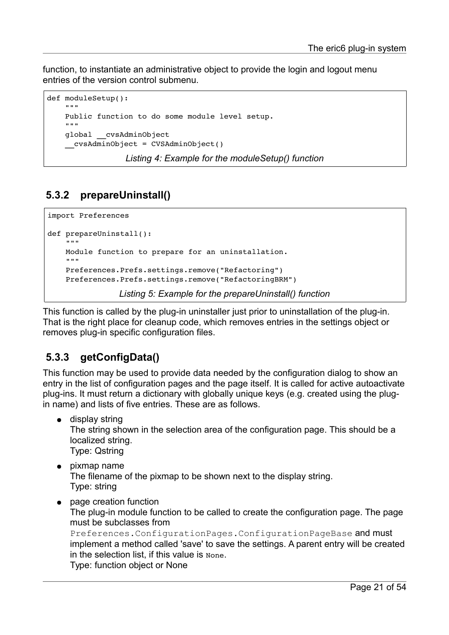function, to instantiate an administrative object to provide the login and logout menu entries of the version control submenu.

```
def moduleSetup():
    "" "" ""
        Public function to do some module level setup.
    "" ""
        global __cvsAdminObject
     cvsAdminObject = CVSAdminObject()
```
*Listing 4: Example for the moduleSetup() function*

## <span id="page-20-1"></span> **5.3.2 prepareUninstall()**

```
import Preferences
def prepareUninstall():
        """
        Module function to prepare for an uninstallation.
        """
        Preferences.Prefs.settings.remove("Refactoring")
        Preferences.Prefs.settings.remove("RefactoringBRM")
                 Listing 5: Example for the prepareUninstall() function
```
This function is called by the plug-in uninstaller just prior to uninstallation of the plug-in. That is the right place for cleanup code, which removes entries in the settings object or removes plug-in specific configuration files.

#### <span id="page-20-0"></span> **5.3.3 getConfigData()**

This function may be used to provide data needed by the configuration dialog to show an entry in the list of configuration pages and the page itself. It is called for active autoactivate plug-ins. It must return a dictionary with globally unique keys (e.g. created using the plugin name) and lists of five entries. These are as follows.

- display string The string shown in the selection area of the configuration page. This should be a localized string. Type: Qstring
- pixmap name The filename of the pixmap to be shown next to the display string. Type: string
- page creation function The plug-in module function to be called to create the configuration page. The page must be subclasses from Preferences.ConfigurationPages.ConfigurationPageBase and must implement a method called 'save' to save the settings. A parent entry will be created in the selection list, if this value is None. Type: function object or None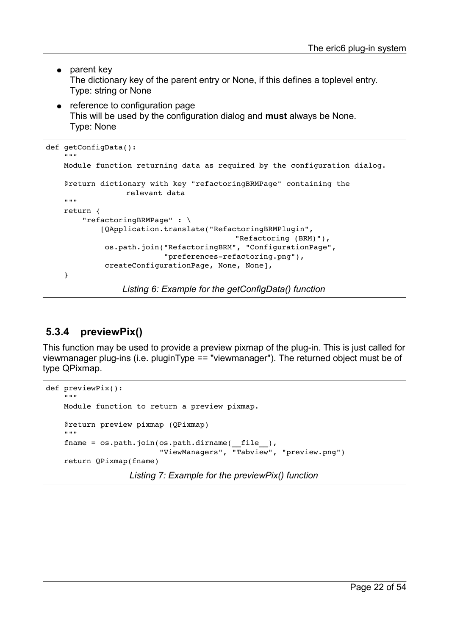- parent kev The dictionary key of the parent entry or None, if this defines a toplevel entry. Type: string or None
- reference to configuration page This will be used by the configuration dialog and **must** always be None. Type: None

```
def getConfigData():
     "" ""
        Module function returning data as required by the configuration dialog.
        @return dictionary with key "refactoringBRMPage" containing the 
                     relevant data
     """
        return {
                 "refactoringBRMPage" : \
                          [QApplication.translate("RefactoringBRMPlugin", 
                                                                            "Refactoring (BRM)"), 
                             os.path.join("RefactoringBRM", "ConfigurationPage", 
                                "preferences-refactoring.png"),
                             createConfigurationPage, None, None],
        }
                     Listing 6: Example for the getConfigData() function
```
## <span id="page-21-0"></span> **5.3.4 previewPix()**

This function may be used to provide a preview pixmap of the plug-in. This is just called for viewmanager plug-ins (i.e. pluginType == "viewmanager"). The returned object must be of type QPixmap.

```
def previewPix():
    "" ""
        Module function to return a preview pixmap.
        @return preview pixmap (QPixmap)
         """
    fname = os.path.join(os.path.dirname( file ),                         "ViewManagers", "Tabview", "preview.png")
        return QPixmap(fname)
                      Listing 7: Example for the previewPix() function
```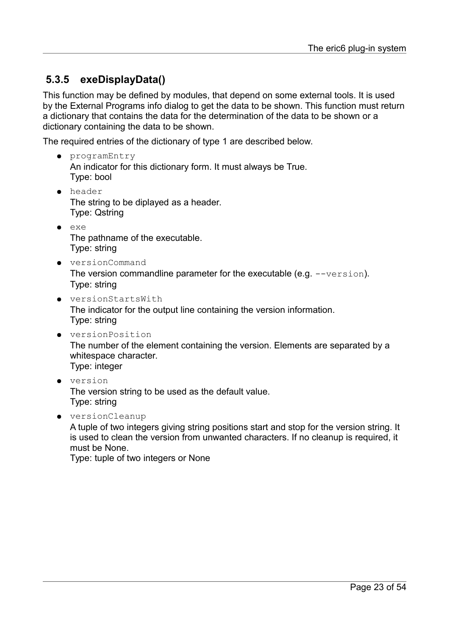## <span id="page-22-0"></span> **5.3.5 exeDisplayData()**

This function may be defined by modules, that depend on some external tools. It is used by the External Programs info dialog to get the data to be shown. This function must return a dictionary that contains the data for the determination of the data to be shown or a dictionary containing the data to be shown.

The required entries of the dictionary of type 1 are described below.

- programEntry An indicator for this dictionary form. It must always be True. Type: bool
- header The string to be diplayed as a header. Type: Qstring
- exe The pathname of the executable. Type: string
- versionCommand The version commandline parameter for the executable (e.g.  $-$ version). Type: string
- versionStartsWith The indicator for the output line containing the version information. Type: string
- versionPosition The number of the element containing the version. Elements are separated by a whitespace character. Type: integer
- version The version string to be used as the default value. Type: string
- versionCleanup

A tuple of two integers giving string positions start and stop for the version string. It is used to clean the version from unwanted characters. If no cleanup is required, it must be None.

Type: tuple of two integers or None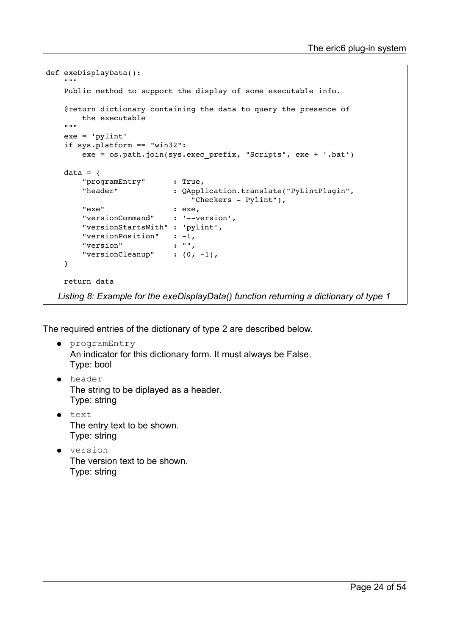```
def exeDisplayData():
    """
        Public method to support the display of some executable info.
        @return dictionary containing the data to query the presence of
                the executable
    "" "
        exe = 'pylint'
        if sys.platform == "win32":
                exe = os.path.join(sys.exec_prefix, "Scripts", exe + '.bat')
    data = \{        "programEntry"      : True, 
                "header"            : QApplication.translate("PyLintPlugin",
                                   "Checkers - Pylint"),
        "exe" : exe,
        "versionCommand"    : '--version',
                "versionStartsWith" : 'pylint', 
"versionPosition" : -1,
        "version"           : "", 
        "versionCleanup"    : (0, -1),
        }
        return data
  Listing 8: Example for the exeDisplayData() function returning a dictionary of type 1
```
The required entries of the dictionary of type 2 are described below.

- programEntry An indicator for this dictionary form. It must always be False. Type: bool
- header The string to be diplayed as a header. Type: string
- text The entry text to be shown. Type: string
- version The version text to be shown. Type: string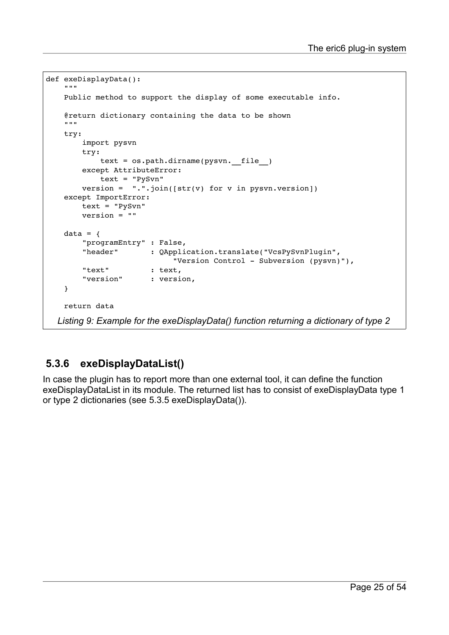```
def exeDisplayData():
     . . . . .
        Public method to support the display of some executable info.
         @return dictionary containing the data to be shown
     . . . . . .
        try:
                 import pysvn
                 try:
              text = os.path.dirname(pysvn. file )
                 except AttributeError:
                          text = "PySvn"
         version = ". . join([str(v) for v in pysun. version])    except ImportError:
                 text = "PySvn"
                 version = ""
    data = \{        "programEntry" : False, 
                 "header"       : QApplication.translate("VcsPySvnPlugin",
                                  "Version Control - Subversion (pysyn)"),
                 "text"         : text, 
         "version" : version,
         }
        return data
   Listing 9: Example for the exeDisplayData() function returning a dictionary of type 2
```
## <span id="page-24-0"></span> **5.3.6 exeDisplayDataList()**

In case the plugin has to report more than one external tool, it can define the function exeDisplayDataList in its module. The returned list has to consist of exeDisplayData type 1 or type 2 dictionaries (see [5.3.5](#page-22-0) [exeDisplayData\(\)\)](#page-22-0).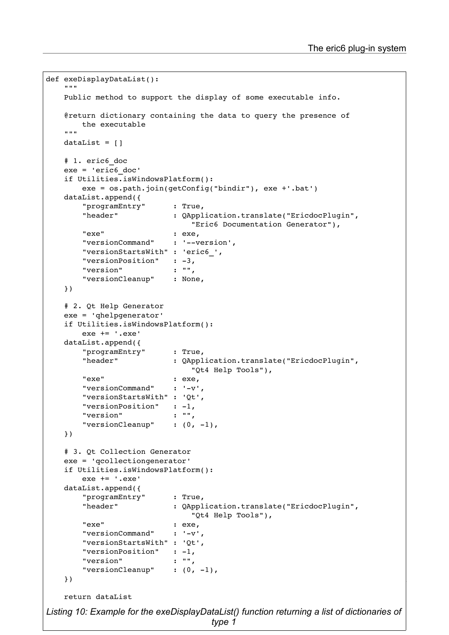```
Page 26 of 54
def exeDisplayDataList():
     .<br>" " "
        Public method to support the display of some executable info.
        @return dictionary containing the data to query the presence of
                 the executable
""""""
    dataList = [ ]    # 1. eric6_doc
        exe = 'eric6_doc'
        if Utilities.isWindowsPlatform():
                 exe = os.path.join(getConfig("bindir"), exe +'.bat')
        dataList.append({
                 "programEntry"      : True, 
                 "header"            : QApplication.translate("EricdocPlugin",
                                                                       "Eric6 Documentation Generator"), 
         "exe" : exe,"versionCommand"    : '--version',
                 "versionStartsWith" : 'eric6_', 
         "versionPosition" : -3,<br>"version" : ""."version"
                 "versionCleanup"    : None, 
        })
        # 2. Qt Help Generator
        exe = 'qhelpgenerator'
        if Utilities.isWindowsPlatform():
                 exe += '.exe'
        dataList.append({
                 "programEntry"      : True, 
                 "header"            : QApplication.translate("EricdocPlugin",
                                                                       "Qt4 Help Tools"), 
                 "exe"               : exe, 
         "versionCommand" : '-v',
                 "versionStartsWith" : 'Qt', 
         "versionPosition" : -1,
         "version" : "",
         "versionCleanup" : (0, -1),
        })
        # 3. Qt Collection Generator
        exe = 'qcollectiongenerator'
        if Utilities.isWindowsPlatform():
                 exe += '.exe'
        dataList.append({
                 "programEntry"      : True, 
                 "header"            : QApplication.translate("EricdocPlugin",
                                                                       "Qt4 Help Tools"), 
                 "exe"               : exe, 
         "versionCommand" : '-v',
                 "versionStartsWith" : 'Qt', 
         "versionPosition" : -1,
         "version" : "",
         "versionCleanup" \qquad: (0, -1),
        })
        return dataList
Listing 10: Example for the exeDisplayDataList() function returning a list of dictionaries of
                                            type 1
```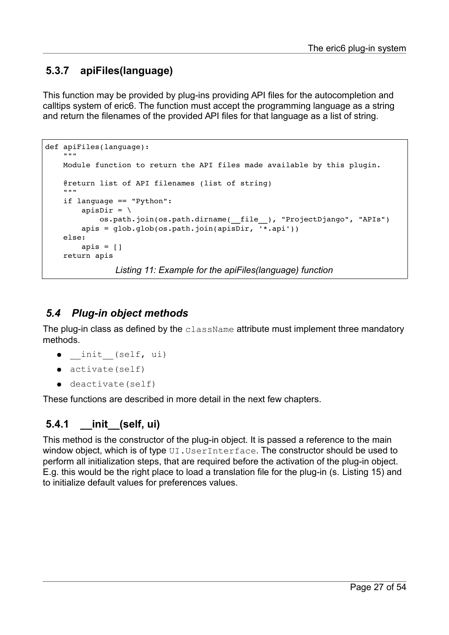#### <span id="page-26-2"></span> **5.3.7 apiFiles(language)**

This function may be provided by plug-ins providing API files for the autocompletion and calltips system of eric6. The function must accept the programming language as a string and return the filenames of the provided API files for that language as a list of string.

```
def apiFiles(language):
        """
        Module function to return the API files made available by this plugin.
        @return list of API filenames (list of string)
    "" ""
        if language == "Python":
         apisDir = \setminus            os.path.join(os.path.dirname(__file__), "ProjectDjango", "APIs")
         apis = glob.glob(os.path.join(apisDir, <math>\overline{``}.api'))    else:
         apis = []    return apis
                  Listing 11: Example for the apiFiles(language) function
```
#### <span id="page-26-1"></span> *5.4 Plug-in object methods*

The plug-in class as defined by the className attribute must implement three mandatory methods.

- init (self, ui)
- activate(self)
- deactivate(self)

These functions are described in more detail in the next few chapters.

#### <span id="page-26-0"></span> **5.4.1 \_\_init\_\_(self, ui)**

This method is the constructor of the plug-in object. It is passed a reference to the main window object, which is of type UI.UserInterface. The constructor should be used to perform all initialization steps, that are required before the activation of the plug-in object. E.g. this would be the right place to load a translation file for the plug-in (s. [Listing 15\)](#page-30-3) and to initialize default values for preferences values.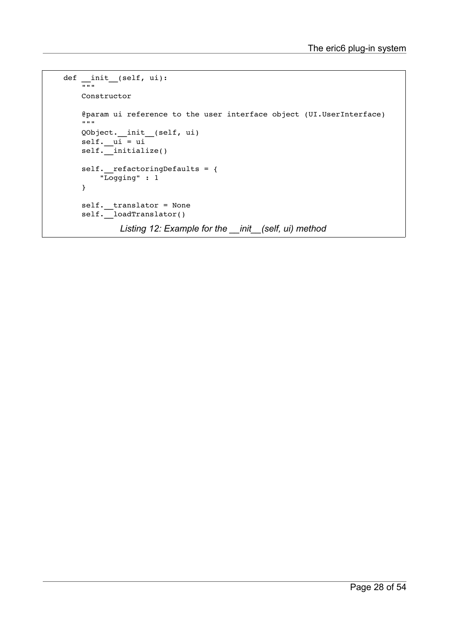```
def __init_(self, ui):
     \overline{...}        Constructor
             @param ui reference to the user interface object (UI.UserInterface)
     \cdots "
            QObject.__init__(self, ui)
             self.__ui = ui
    self.__initialize()
    self. __refactoringDefaults = {            "Logging" : 1
             }
     self._translator = None
     self.__loadTranslator()
               Listing 12: Example for the __init__(self, ui) method
```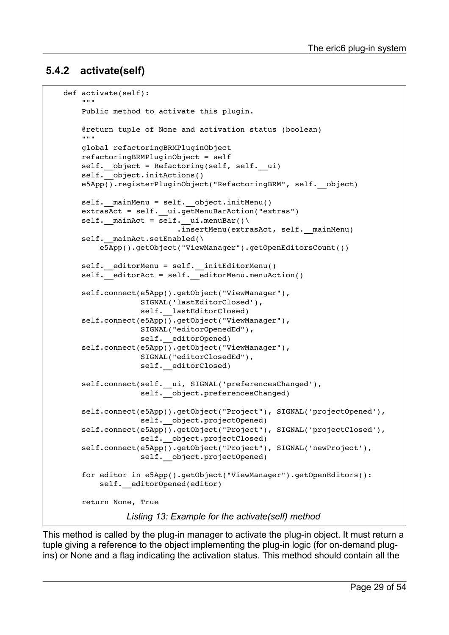#### <span id="page-28-0"></span> **5.4.2 activate(self)**

```
    def activate(self):
        """
                Public method to activate this plugin.
                @return tuple of None and activation status (boolean)
         "" "
                global refactoringBRMPluginObject
                refactoringBRMPluginObject = self
        self. object = Refactoring(self, self. ui)
        self. object.initActions()
                e5App().registerPluginObject("RefactoringBRM", self.__object)
        self. mainMenu = self. object.initMenu()extrasAct = self. ui.getMenuBarAction("extras")self. mainAct = self. ui.menuBar().insertMenu(extrasAct, self. mainMenu)
        self. mainAct.setEnabled(\
                         e5App().getObject("ViewManager").getOpenEditorsCount())
        self. editorMenu = self. initEditorMenu()
        self. editorAct = self. editorMenu.menuAction()
                self.connect(e5App().getObject("ViewManager"),             
                                            SIGNAL('lastEditorClosed'),
                       self. lastEditorClosed)
                self.connect(e5App().getObject("ViewManager"), 
                                            SIGNAL("editorOpenedEd"), 
                                            self.__editorOpened)
                self.connect(e5App().getObject("ViewManager"), 
                                            SIGNAL("editorClosedEd"), 
                       self. editorClosed)
        self.connect(self. ui, SIGNAL('preferencesChanged'),
                        self. object.preferencesChanged)
                self.connect(e5App().getObject("Project"), SIGNAL('projectOpened'),
                        self. object.projectOpened)
                self.connect(e5App().getObject("Project"), SIGNAL('projectClosed'),
                       self. object.projectClosed)
                self.connect(e5App().getObject("Project"), SIGNAL('newProject'),
                        self. object.projectOpened)
                for editor in e5App().getObject("ViewManager").getOpenEditors():
             self. editorOpened(editor)
                return None, True
                    Listing 13: Example for the activate(self) method
```
This method is called by the plug-in manager to activate the plug-in object. It must return a tuple giving a reference to the object implementing the plug-in logic (for on-demand plugins) or None and a flag indicating the activation status. This method should contain all the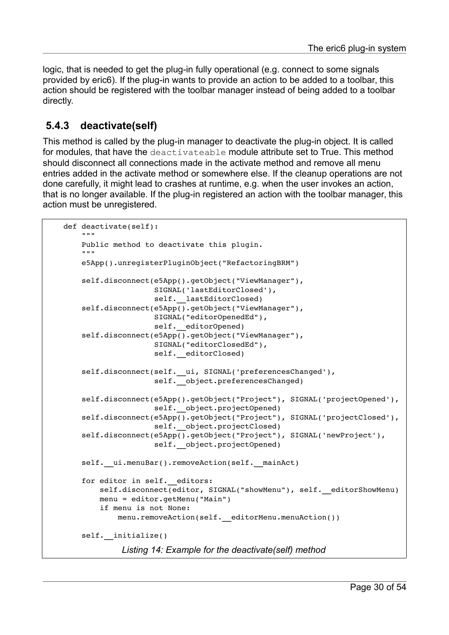logic, that is needed to get the plug-in fully operational (e.g. connect to some signals provided by eric6). If the plug-in wants to provide an action to be added to a toolbar, this action should be registered with the toolbar manager instead of being added to a toolbar directly.

#### <span id="page-29-0"></span> **5.4.3 deactivate(self)**

This method is called by the plug-in manager to deactivate the plug-in object. It is called for modules, that have the deactivateable module attribute set to True. This method should disconnect all connections made in the activate method and remove all menu entries added in the activate method or somewhere else. If the cleanup operations are not done carefully, it might lead to crashes at runtime, e.g. when the user invokes an action, that is no longer available. If the plug-in registered an action with the toolbar manager, this action must be unregistered.

```
    def deactivate(self):
            """
            Public method to deactivate this plugin.
            """
            e5App().unregisterPluginObject("RefactoringBRM")
            self.disconnect(e5App().getObject("ViewManager"), 
                                               SIGNAL('lastEditorClosed'),
                       self. lastEditorClosed)
            self.disconnect(e5App().getObject("ViewManager"), 
                                               SIGNAL("editorOpenedEd"), 
                       self. editorOpened)
    self.disconnect(e5App().getObject("ViewManager"),
                                               SIGNAL("editorClosedEd"), 
                       self. editorClosed)
    self.disconnect(self._ui, SIGNAL('preferencesChanged'),
                       self. object.preferencesChanged)
            self.disconnect(e5App().getObject("Project"), SIGNAL('projectOpened'),
                       self. object.projectOpened)
    self.disconnect(e5App().getObject("Project"), SIGNAL('projectClosed'),
                       self. object.projectClosed)
    self.disconnect(e5App().getObject("Project"), SIGNAL('newProject'),
                       self. object.projectOpened)
    self. ui.menuBar().removeAction(self. mainAct)
    for editor in self. editors:
         self.disconnect(editor, SIGNAL("showMenu"), self. editorShowMenu)
                     menu = editor.getMenu("Main")
                     if menu is not None:
                             menu.removeAction(self.__editorMenu.menuAction())
    self. initialize()
              Listing 14: Example for the deactivate(self) method
```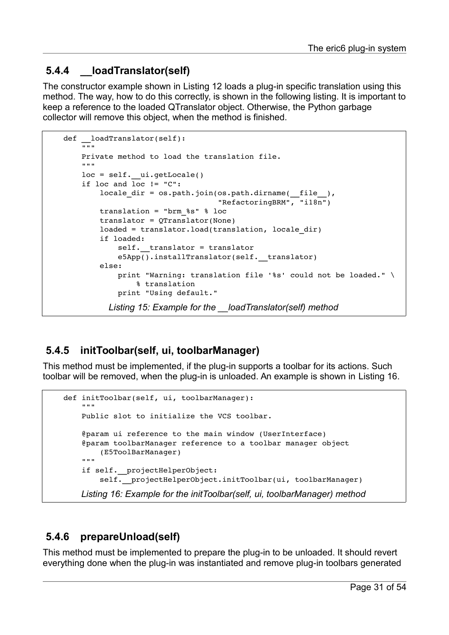#### <span id="page-30-2"></span> **5.4.4 \_\_loadTranslator(self)**

The constructor example shown in [Listing 12](#page-27-0) loads a plug-in specific translation using this method. The way, how to do this correctly, is shown in the following listing. It is important to keep a reference to the loaded QTranslator object. Otherwise, the Python garbage collector will remove this object, when the method is finished.

```
def loadTranslator(self):
     \overline{...}"
             Private method to load the translation file.
     "" "
     loc = self. ui.getLocale()
             if loc and loc != "C":
          locale dir = os.path.join(os.path.dirname( _file ),
                                                                                 "RefactoringBRM", "i18n")
                      translation = "brm_%s" % loc
          translator = 0Translator(None)
          loaded = translator.load(translation, locale dir)
                      if loaded:
               self. translator = translator
               e5App().installTranslator(self. translator)
                      else:
               print "Warning: translation file '%s' could not be loaded." \
                                        % translation
                               print "Using default."
            Listing 15: Example for the __loadTranslator(self) method
```
## <span id="page-30-3"></span><span id="page-30-1"></span> **5.4.5 initToolbar(self, ui, toolbarManager)**

This method must be implemented, if the plug-in supports a toolbar for its actions. Such toolbar will be removed, when the plug-in is unloaded. An example is shown in [Listing 16.](#page-30-4)

```
    def initToolbar(self, ui, toolbarManager):
        """
                 Public slot to initialize the VCS toolbar.
                 @param ui reference to the main window (UserInterface)
                 @param toolbarManager reference to a toolbar manager object
                         (E5ToolBarManager)
         "" "
                 if self.__projectHelperObject:
             self. projectHelperObject.initToolbar(ui, toolbarManager)
         Listing 16: Example for the initToolbar(self, ui, toolbarManager) method
```
#### <span id="page-30-4"></span><span id="page-30-0"></span> **5.4.6 prepareUnload(self)**

This method must be implemented to prepare the plug-in to be unloaded. It should revert everything done when the plug-in was instantiated and remove plug-in toolbars generated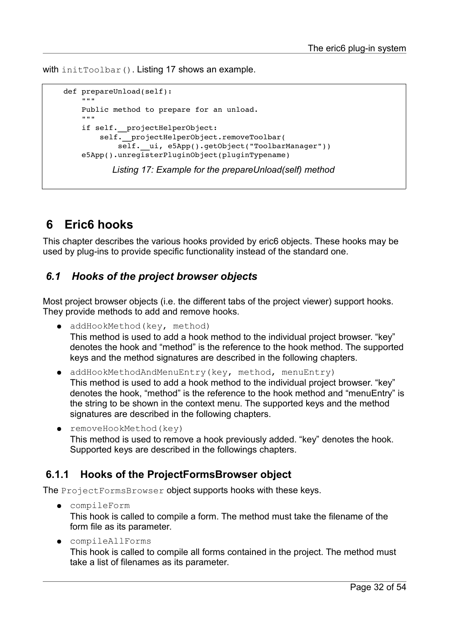with initToolbar(). [Listing 17](#page-31-3) shows an example.

```
    def prepareUnload(self):
        """
                Public method to prepare for an unload.
                """
        if self. projectHelperObject:
            self. projectHelperObject.removeToolbar(
                self. ui, e5App().getObject("ToolbarManager"))
        e5App().unregisterPluginObject(pluginTypename)
               Listing 17: Example for the prepareUnload(self) method
```
## <span id="page-31-3"></span><span id="page-31-2"></span> **6 Eric6 hooks**

This chapter describes the various hooks provided by eric6 objects. These hooks may be used by plug-ins to provide specific functionality instead of the standard one.

#### <span id="page-31-1"></span> *6.1 Hooks of the project browser objects*

Most project browser objects (i.e. the different tabs of the project viewer) support hooks. They provide methods to add and remove hooks.

- addHookMethod(key, method) This method is used to add a hook method to the individual project browser. "key" denotes the hook and "method" is the reference to the hook method. The supported keys and the method signatures are described in the following chapters.
- addHookMethodAndMenuEntry(key, method, menuEntry) This method is used to add a hook method to the individual project browser. "key" denotes the hook, "method" is the reference to the hook method and "menuEntry" is the string to be shown in the context menu. The supported keys and the method signatures are described in the following chapters.
- removeHookMethod(key) This method is used to remove a hook previously added. "key" denotes the hook. Supported keys are described in the followings chapters.

#### <span id="page-31-0"></span> **6.1.1 Hooks of the ProjectFormsBrowser object**

The ProjectFormsBrowser object supports hooks with these keys.

- compileForm This hook is called to compile a form. The method must take the filename of the form file as its parameter.
- compileAllForms This hook is called to compile all forms contained in the project. The method must take a list of filenames as its parameter.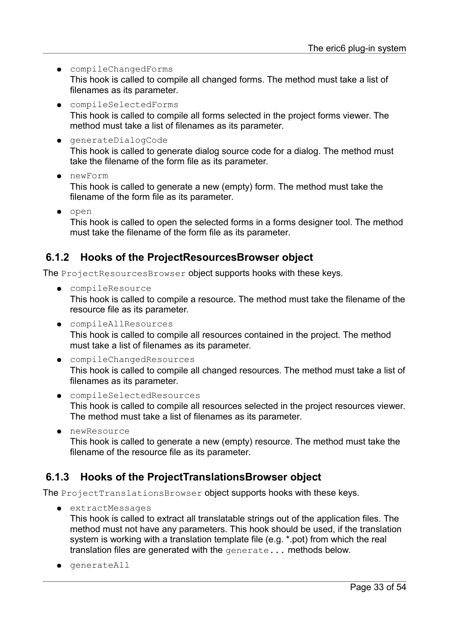- compileChangedForms This hook is called to compile all changed forms. The method must take a list of filenames as its parameter.
- compileSelectedForms This hook is called to compile all forms selected in the project forms viewer. The method must take a list of filenames as its parameter.
- generateDialogCode This hook is called to generate dialog source code for a dialog. The method must take the filename of the form file as its parameter.
- newForm

This hook is called to generate a new (empty) form. The method must take the filename of the form file as its parameter.

● open

<span id="page-32-1"></span>This hook is called to open the selected forms in a forms designer tool. The method must take the filename of the form file as its parameter.

#### **6.1.2 Hooks of the ProjectResourcesBrowser object**

The ProjectResourcesBrowser object supports hooks with these keys.

- compileResource This hook is called to compile a resource. The method must take the filename of the resource file as its parameter.
- compileAllResources This hook is called to compile all resources contained in the project. The method must take a list of filenames as its parameter.
- compileChangedResources This hook is called to compile all changed resources. The method must take a list of filenames as its parameter.
- compileSelectedResources This hook is called to compile all resources selected in the project resources viewer. The method must take a list of filenames as its parameter.
- newResource

<span id="page-32-0"></span>This hook is called to generate a new (empty) resource. The method must take the filename of the resource file as its parameter.

#### **6.1.3 Hooks of the ProjectTranslationsBrowser object**

The ProjectTranslationsBrowser object supports hooks with these keys.

● extractMessages

This hook is called to extract all translatable strings out of the application files. The method must not have any parameters. This hook should be used, if the translation system is working with a translation template file (e.g. \*.pot) from which the real translation files are generated with the generate... methods below.

● generateAll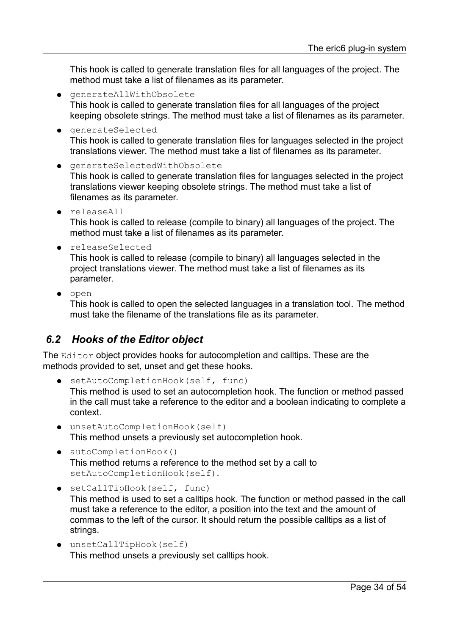This hook is called to generate translation files for all languages of the project. The method must take a list of filenames as its parameter.

- generateAllWithObsolete This hook is called to generate translation files for all languages of the project keeping obsolete strings. The method must take a list of filenames as its parameter.
- generateSelected This hook is called to generate translation files for languages selected in the project translations viewer. The method must take a list of filenames as its parameter.
- generateSelectedWithObsolete This hook is called to generate translation files for languages selected in the project translations viewer keeping obsolete strings. The method must take a list of filenames as its parameter.
- releaseAll This hook is called to release (compile to binary) all languages of the project. The method must take a list of filenames as its parameter.
- releaseSelected

This hook is called to release (compile to binary) all languages selected in the project translations viewer. The method must take a list of filenames as its parameter.

● open

This hook is called to open the selected languages in a translation tool. The method must take the filename of the translations file as its parameter.

#### <span id="page-33-0"></span> *6.2 Hooks of the Editor object*

The Editor object provides hooks for autocompletion and calltips. These are the methods provided to set, unset and get these hooks.

- setAutoCompletionHook(self, func) This method is used to set an autocompletion hook. The function or method passed in the call must take a reference to the editor and a boolean indicating to complete a context.
- unsetAutoCompletionHook(self) This method unsets a previously set autocompletion hook.
- autoCompletionHook() This method returns a reference to the method set by a call to setAutoCompletionHook(self).
- setCallTipHook(self, func)

This method is used to set a calltips hook. The function or method passed in the call must take a reference to the editor, a position into the text and the amount of commas to the left of the cursor. It should return the possible calltips as a list of strings.

● unsetCallTipHook(self) This method unsets a previously set calltips hook.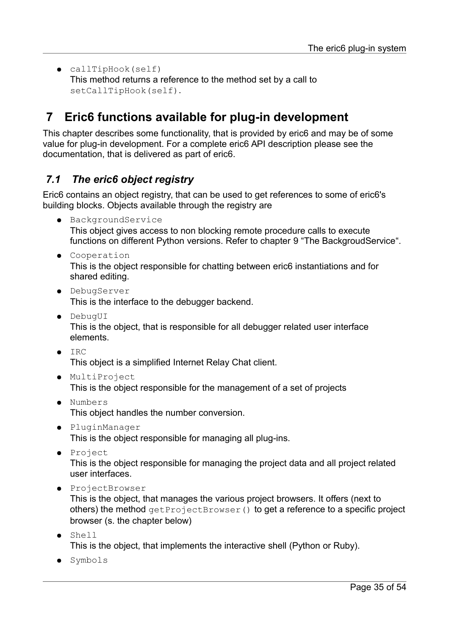● callTipHook(self) This method returns a reference to the method set by a call to setCallTipHook(self).

## <span id="page-34-1"></span> **7 Eric6 functions available for plug-in development**

This chapter describes some functionality, that is provided by eric6 and may be of some value for plug-in development. For a complete eric6 API description please see the documentation, that is delivered as part of eric6.

#### <span id="page-34-0"></span> *7.1 The eric6 object registry*

Eric6 contains an object registry, that can be used to get references to some of eric6's building blocks. Objects available through the registry are

- BackgroundService This object gives access to non blocking remote procedure calls to execute functions on different Python versions. Refer to chapter [9 "The BackgroudService"](#page-48-2).
- Cooperation This is the object responsible for chatting between eric6 instantiations and for shared editing.
- DebugServer This is the interface to the debugger backend.
- DebugUI This is the object, that is responsible for all debugger related user interface elements.
- IRC

This object is a simplified Internet Relay Chat client.

- MultiProject This is the object responsible for the management of a set of projects
- Numbers This object handles the number conversion.
- PluginManager This is the object responsible for managing all plug-ins.
- Project

This is the object responsible for managing the project data and all project related user interfaces.

● ProjectBrowser

This is the object, that manages the various project browsers. It offers (next to others) the method get ProjectBrowser() to get a reference to a specific project browser (s. the chapter below)

- Shell This is the object, that implements the interactive shell (Python or Ruby).
- Symbols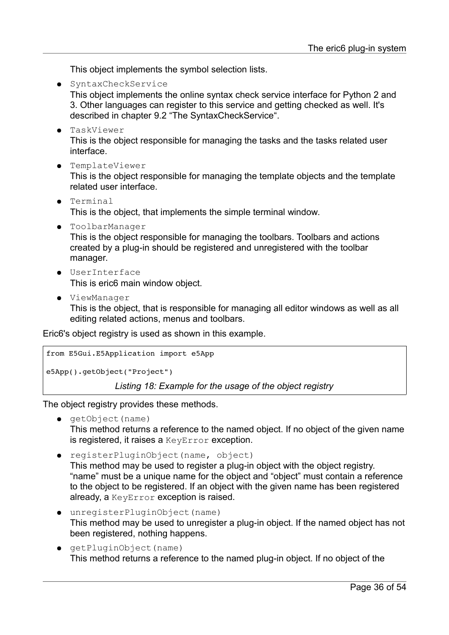This object implements the symbol selection lists.

<span id="page-35-0"></span>● SyntaxCheckService This object implements the online syntax check service interface for Python 2 and 3. Other languages can register to this service and getting checked as well. It's described in chapter [9.2 "The SyntaxCheckService"](#page-50-0).

- TaskViewer This is the object responsible for managing the tasks and the tasks related user interface.
- TemplateViewer

This is the object responsible for managing the template objects and the template related user interface.

- Terminal This is the object, that implements the simple terminal window.
- ToolbarManager

This is the object responsible for managing the toolbars. Toolbars and actions created by a plug-in should be registered and unregistered with the toolbar manager.

- UserInterface This is eric6 main window object.
- ViewManager

This is the object, that is responsible for managing all editor windows as well as all editing related actions, menus and toolbars.

Eric6's object registry is used as shown in this example.

```
from E5Gui.E5Application import e5App
```

```
e5App().getObject("Project")
```
*Listing 18: Example for the usage of the object registry*

The object registry provides these methods.

● getObject(name)

This method returns a reference to the named object. If no object of the given name is registered, it raises a KeyError exception.

- registerPluginObject(name, object) This method may be used to register a plug-in object with the object registry. "name" must be a unique name for the object and "object" must contain a reference to the object to be registered. If an object with the given name has been registered already, a KeyError exception is raised.
- unregisterPluginObject(name) This method may be used to unregister a plug-in object. If the named object has not been registered, nothing happens.
- getPluginObject(name) This method returns a reference to the named plug-in object. If no object of the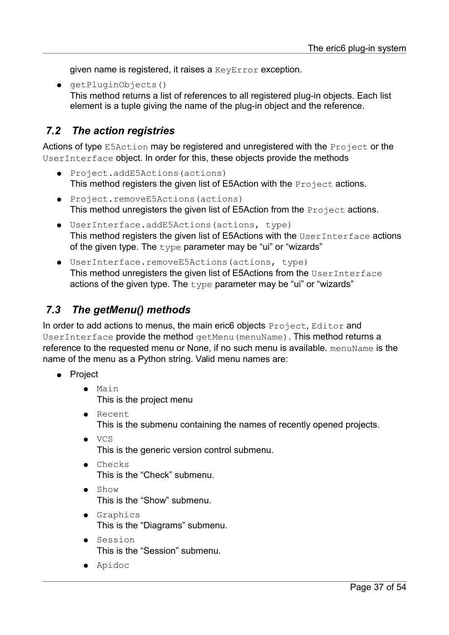given name is registered, it raises a KeyError exception.

● getPluginObjects() This method returns a list of references to all registered plug-in objects. Each list element is a tuple giving the name of the plug-in object and the reference.

#### <span id="page-36-1"></span> *7.2 The action registries*

Actions of type E5Action may be registered and unregistered with the Project or the UserInterface object. In order for this, these objects provide the methods

- Project.addE5Actions(actions) This method registers the given list of E5Action with the **Project** actions.
- Project.removeE5Actions(actions) This method unregisters the given list of E5Action from the **Project** actions.
- UserInterface.addE5Actions(actions, type) This method registers the given list of E5Actions with the UserInterface actions of the given type. The  $type$  parameter may be "ui" or "wizards"
- UserInterface.removeE5Actions(actions, type) This method unregisters the given list of E5Actions from the UserInterface actions of the given type. The  $type$  parameter may be "ui" or "wizards"

#### <span id="page-36-0"></span> *7.3 The getMenu() methods*

In order to add actions to menus, the main eric6 objects Project, Editor and UserInterface provide the method getMenu(menuName). This method returns a reference to the requested menu or None, if no such menu is available. menuName is the name of the menu as a Python string. Valid menu names are:

- Project
	- Main This is the project menu
	- Recent This is the submenu containing the names of recently opened projects.
	- VCS This is the generic version control submenu.
	- Checks This is the "Check" submenu.
	- Show This is the "Show" submenu.
	- Graphics This is the "Diagrams" submenu.
	- Session This is the "Session" submenu.
	- Apidoc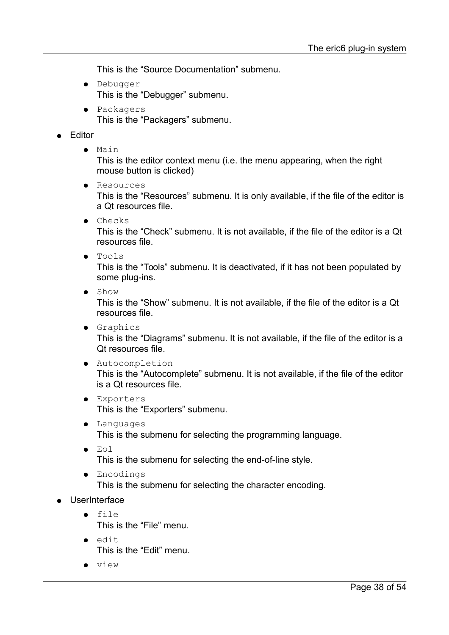This is the "Source Documentation" submenu.

- Debugger This is the "Debugger" submenu.
- Packagers This is the "Packagers" submenu.

#### **Editor**

● Main

This is the editor context menu (i.e. the menu appearing, when the right mouse button is clicked)

- Resources This is the "Resources" submenu. It is only available, if the file of the editor is a Qt resources file.
- Checks

This is the "Check" submenu. It is not available, if the file of the editor is a Qt resources file.

● Tools

This is the "Tools" submenu. It is deactivated, if it has not been populated by some plug-ins.

● Show

This is the "Show" submenu. It is not available, if the file of the editor is a Qt resources file.

● Graphics

This is the "Diagrams" submenu. It is not available, if the file of the editor is a Qt resources file.

● Autocompletion

This is the "Autocomplete" submenu. It is not available, if the file of the editor is a Qt resources file.

- Exporters This is the "Exporters" submenu.
- Languages This is the submenu for selecting the programming language.
- Eol
	- This is the submenu for selecting the end-of-line style.
- Encodings

This is the submenu for selecting the character encoding.

#### ● UserInterface

- file This is the "File" menu.
- edit This is the "Edit" menu.
- view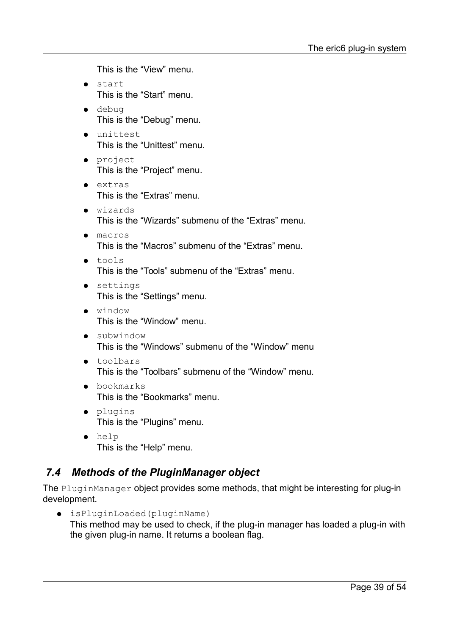This is the "View" menu.

- start This is the "Start" menu.
- debug This is the "Debug" menu.
- unittest This is the "Unittest" menu.
- project This is the "Project" menu.
- extras This is the "Extras" menu.
- wizards This is the "Wizards" submenu of the "Extras" menu.
- macros This is the "Macros" submenu of the "Extras" menu.
- tools This is the "Tools" submenu of the "Extras" menu.
- settings This is the "Settings" menu.
- window This is the "Window" menu.
- subwindow This is the "Windows" submenu of the "Window" menu
- toolbars This is the "Toolbars" submenu of the "Window" menu.
- bookmarks This is the "Bookmarks" menu.
- plugins This is the "Plugins" menu.
- help This is the "Help" menu.

## <span id="page-38-0"></span> *7.4 Methods of the PluginManager object*

The PluginManager object provides some methods, that might be interesting for plug-in development.

● isPluginLoaded(pluginName) This method may be used to check, if the plug-in manager has loaded a plug-in with the given plug-in name. It returns a boolean flag.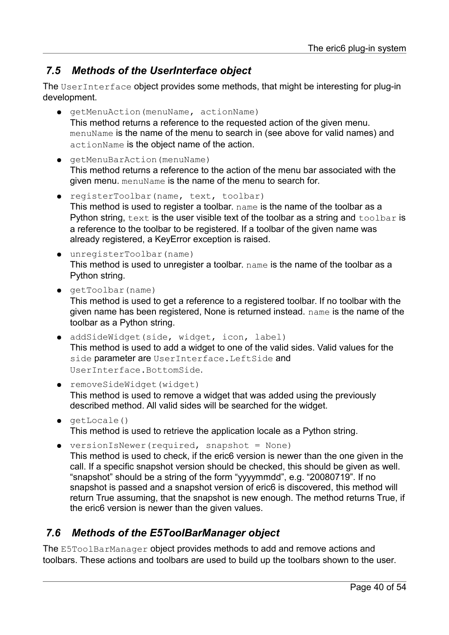## <span id="page-39-1"></span> *7.5 Methods of the UserInterface object*

The UserInterface object provides some methods, that might be interesting for plug-in development.

- getMenuAction(menuName, actionName) This method returns a reference to the requested action of the given menu. menuName is the name of the menu to search in (see above for valid names) and actionName is the object name of the action.
- getMenuBarAction(menuName) This method returns a reference to the action of the menu bar associated with the given menu. menuName is the name of the menu to search for.
- registerToolbar(name, text, toolbar) This method is used to register a toolbar. name is the name of the toolbar as a Python string,  $text$ is the user visible text of the toolbar as a string and  $to$ olbar is a reference to the toolbar to be registered. If a toolbar of the given name was already registered, a KeyError exception is raised.
- unregisterToolbar(name) This method is used to unregister a toolbar. name is the name of the toolbar as a Python string.
- getToolbar(name)

This method is used to get a reference to a registered toolbar. If no toolbar with the given name has been registered, None is returned instead. name is the name of the toolbar as a Python string.

- addSideWidget(side, widget, icon, label) This method is used to add a widget to one of the valid sides. Valid values for the side parameter are UserInterface. LeftSide and UserInterface.BottomSide.
- removeSideWidget(widget) This method is used to remove a widget that was added using the previously described method. All valid sides will be searched for the widget.
- getLocale() This method is used to retrieve the application locale as a Python string.
- versionIsNewer(required, snapshot = None) This method is used to check, if the eric6 version is newer than the one given in the call. If a specific snapshot version should be checked, this should be given as well. "snapshot" should be a string of the form "yyyymmdd", e.g. "20080719". If no snapshot is passed and a snapshot version of eric6 is discovered, this method will return True assuming, that the snapshot is new enough. The method returns True, if the eric6 version is newer than the given values.

#### <span id="page-39-0"></span> *7.6 Methods of the E5ToolBarManager object*

The E5ToolBarManager object provides methods to add and remove actions and toolbars. These actions and toolbars are used to build up the toolbars shown to the user.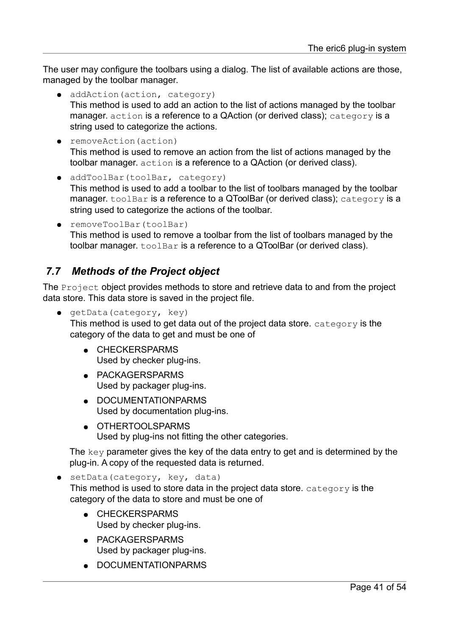The user may configure the toolbars using a dialog. The list of available actions are those, managed by the toolbar manager.

- addAction(action, category) This method is used to add an action to the list of actions managed by the toolbar manager. action is a reference to a QAction (or derived class); category is a string used to categorize the actions.
- removeAction(action) This method is used to remove an action from the list of actions managed by the toolbar manager. action is a reference to a QAction (or derived class).
- addToolBar(toolBar, category) This method is used to add a toolbar to the list of toolbars managed by the toolbar manager. toolBar is a reference to a QToolBar (or derived class); category is a string used to categorize the actions of the toolbar.
- removeToolBar(toolBar) This method is used to remove a toolbar from the list of toolbars managed by the toolbar manager. toolBar is a reference to a QToolBar (or derived class).

## <span id="page-40-0"></span> *7.7 Methods of the Project object*

The Project object provides methods to store and retrieve data to and from the project data store. This data store is saved in the project file.

● getData(category, key)

This method is used to get data out of the project data store.  $category$  is the category of the data to get and must be one of

- CHECKERSPARMS Used by checker plug-ins.
- PACKAGERSPARMS Used by packager plug-ins.
- DOCUMENTATIONPARMS Used by documentation plug-ins.
- OTHERTOOL SPARMS Used by plug-ins not fitting the other categories.

The key parameter gives the key of the data entry to get and is determined by the plug-in. A copy of the requested data is returned.

● setData(category, key, data) This method is used to store data in the project data store. category is the category of the data to store and must be one of

- CHECKERSPARMS Used by checker plug-ins.
- PACKAGERSPARMS Used by packager plug-ins.
- DOCUMENTATIONPARMS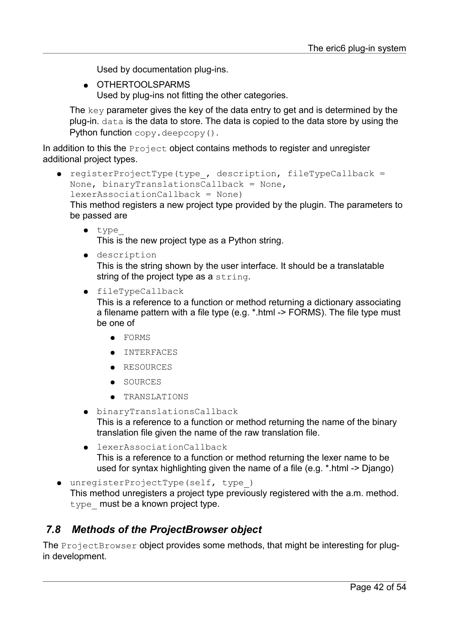Used by documentation plug-ins.

● OTHERTOOLSPARMS Used by plug-ins not fitting the other categories.

The key parameter gives the key of the data entry to get and is determined by the plug-in. data is the data to store. The data is copied to the data store by using the Python function copy.deepcopy().

In addition to this the **Project** object contains methods to register and unregister additional project types.

● registerProjectType(type\_, description, fileTypeCallback = None, binaryTranslationsCallback = None, lexerAssociationCallback = None)

This method registers a new project type provided by the plugin. The parameters to be passed are

● type\_

This is the new project type as a Python string.

● description

This is the string shown by the user interface. It should be a translatable string of the project type as a string.

● fileTypeCallback

This is a reference to a function or method returning a dictionary associating a filename pattern with a file type (e.g. \*.html -> FORMS). The file type must be one of

- FORMS
- **●** INTERFACES
- RESOURCES
- SOURCES
- TRANSLATIONS
- binaryTranslationsCallback This is a reference to a function or method returning the name of the binary translation file given the name of the raw translation file.
- lexerAssociationCallback This is a reference to a function or method returning the lexer name to be used for syntax highlighting given the name of a file (e.g. \*.html -> Django)
- unregisterProjectType(self, type\_) This method unregisters a project type previously registered with the a.m. method. type must be a known project type.

#### <span id="page-41-0"></span> *7.8 Methods of the ProjectBrowser object*

The ProjectBrowser object provides some methods, that might be interesting for plugin development.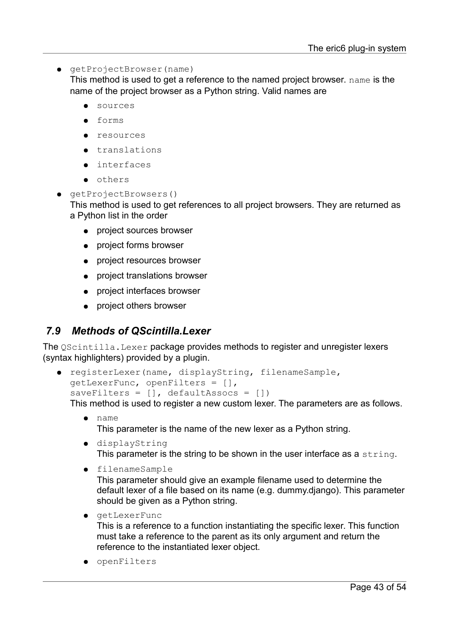● getProjectBrowser(name)

This method is used to get a reference to the named project browser. name is the name of the project browser as a Python string. Valid names are

- sources
- forms
- resources
- translations
- interfaces
- others
- getProjectBrowsers() This method is used to get references to all project browsers. They are returned as a Python list in the order
	- project sources browser
	- project forms browser
	- project resources browser
	- project translations browser
	- project interfaces browser
	- project others browser

#### <span id="page-42-0"></span> *7.9 Methods of QScintilla.Lexer*

The Oscintilla. Lexer package provides methods to register and unregister lexers (syntax highlighters) provided by a plugin.

```
● registerLexer(name, displayString, filenameSample, 
  getLexerFunc, openFilters = [], 
  saveFilters = [], defaultAssocs = [])
```
This method is used to register a new custom lexer. The parameters are as follows.

- name This parameter is the name of the new lexer as a Python string.
- displayString This parameter is the string to be shown in the user interface as a string.
- filenameSample This parameter should give an example filename used to determine the default lexer of a file based on its name (e.g. dummy.django). This parameter should be given as a Python string.
- getLexerFunc This is a reference to a function instantiating the specific lexer. This function must take a reference to the parent as its only argument and return the reference to the instantiated lexer object.
- openFilters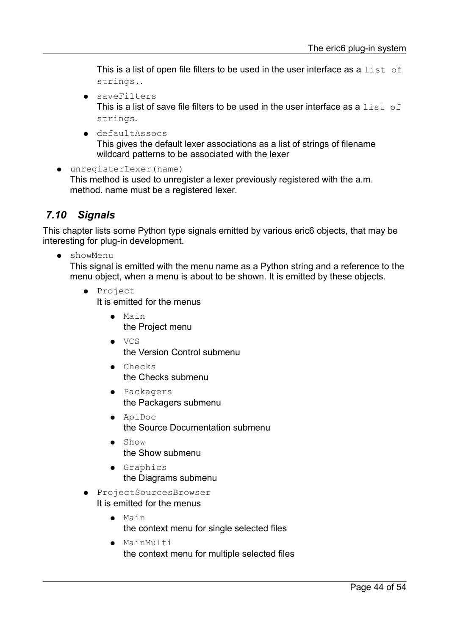This is a list of open file filters to be used in the user interface as a  $list$  of strings..

- saveFilters This is a list of save file filters to be used in the user interface as a list of strings.
- defaultAssocs This gives the default lexer associations as a list of strings of filename wildcard patterns to be associated with the lexer
- unregisterLexer(name) This method is used to unregister a lexer previously registered with the a.m. method. name must be a registered lexer.

#### <span id="page-43-0"></span> *7.10 Signals*

This chapter lists some Python type signals emitted by various eric6 objects, that may be interesting for plug-in development.

● showMenu

This signal is emitted with the menu name as a Python string and a reference to the menu object, when a menu is about to be shown. It is emitted by these objects.

- Project It is emitted for the menus
	- Main the Project menu
	- VCS the Version Control submenu
	- Checks the Checks submenu
	- Packagers the Packagers submenu
	- ApiDoc the Source Documentation submenu
	- Show the Show submenu
	- Graphics the Diagrams submenu
- ProjectSourcesBrowser It is emitted for the menus
	- Main the context menu for single selected files
	- MainMulti the context menu for multiple selected files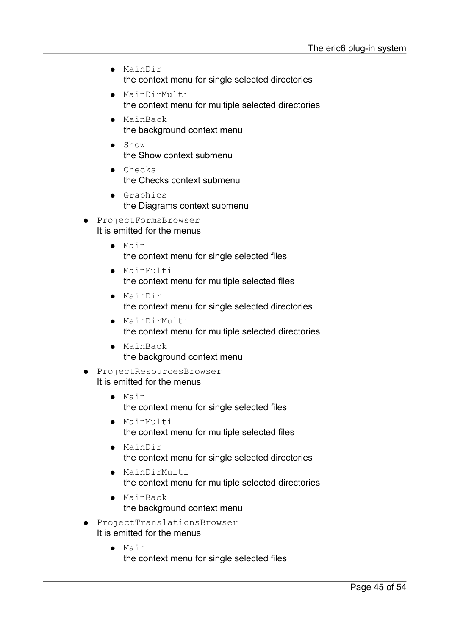- MainDir the context menu for single selected directories
- MainDirMulti the context menu for multiple selected directories
- MainBack the background context menu
- Show the Show context submenu
- Checks the Checks context submenu
- Graphics the Diagrams context submenu
- ProjectFormsBrowser It is emitted for the menus
	- Main the context menu for single selected files
	- MainMulti the context menu for multiple selected files
	- MainDir the context menu for single selected directories
	- MainDirMulti the context menu for multiple selected directories
	- MainBack the background context menu
- ProjectResourcesBrowser It is emitted for the menus
	- Main the context menu for single selected files
	- MainMulti the context menu for multiple selected files
	- MainDir the context menu for single selected directories
	- MainDirMulti the context menu for multiple selected directories
	- MainBack the background context menu
- ProjectTranslationsBrowser It is emitted for the menus
	- Main the context menu for single selected files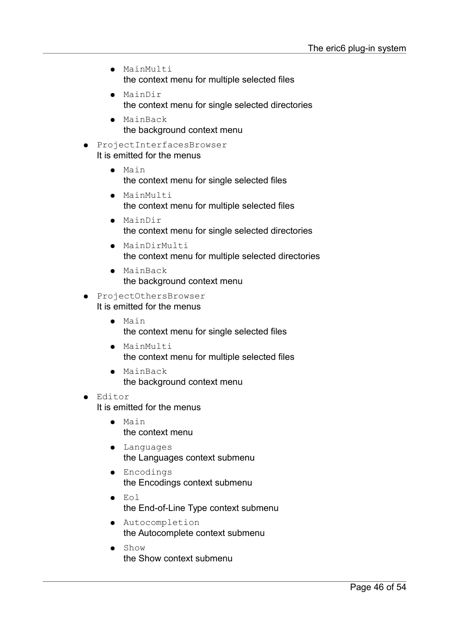- MainMulti the context menu for multiple selected files
- MainDir the context menu for single selected directories
- MainBack the background context menu
- ProjectInterfacesBrowser It is emitted for the menus
	- Main the context menu for single selected files
	- MainMulti the context menu for multiple selected files
	- MainDir the context menu for single selected directories
	- MainDirMulti the context menu for multiple selected directories
	- MainBack the background context menu
- ProjectOthersBrowser It is emitted for the menus
	- Main the context menu for single selected files
	- MainMulti the context menu for multiple selected files
	- MainBack the background context menu
- Editor
	- It is emitted for the menus
		- Main the context menu
		- Languages the Languages context submenu
		- Encodings the Encodings context submenu
		- Eol the End-of-Line Type context submenu
		- Autocompletion the Autocomplete context submenu
		- Show the Show context submenu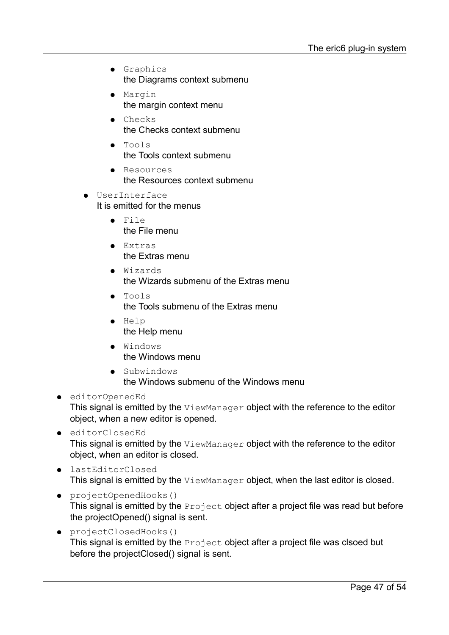- Graphics the Diagrams context submenu
- Margin the margin context menu
- Checks the Checks context submenu
- Tools the Tools context submenu
- Resources the Resources context submenu
- **UserInterface** It is emitted for the menus
	- $\bullet$  File the File menu
	- Extras the Extras menu
	- Wizards the Wizards submenu of the Extras menu
	- Tools the Tools submenu of the Extras menu
	- Help the Help menu
	- Windows the Windows menu
	- Subwindows the Windows submenu of the Windows menu
- editorOpenedEd This signal is emitted by the ViewManager object with the reference to the editor object, when a new editor is opened.
- editorClosedEd This signal is emitted by the ViewManager object with the reference to the editor object, when an editor is closed.
- lastEditorClosed This signal is emitted by the ViewManager object, when the last editor is closed.
- projectOpenedHooks() This signal is emitted by the Project object after a project file was read but before the projectOpened() signal is sent.
- projectClosedHooks() This signal is emitted by the **Project** object after a project file was clsoed but before the projectClosed() signal is sent.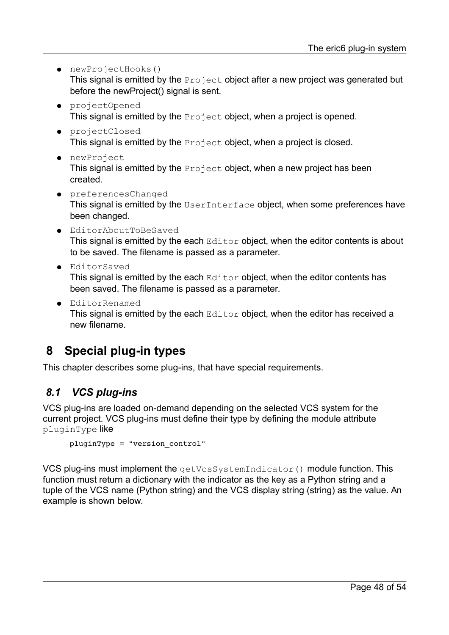- newProjectHooks() This signal is emitted by the Project object after a new project was generated but before the newProject() signal is sent.
- projectOpened This signal is emitted by the **Project** object, when a project is opened.
- projectClosed This signal is emitted by the **Project** object, when a project is closed.
- newProject This signal is emitted by the **Project** object, when a new project has been created.
- preferencesChanged This signal is emitted by the UserInterface object, when some preferences have been changed.
- EditorAboutToBeSaved This signal is emitted by the each  $Editor$  object, when the editor contents is about to be saved. The filename is passed as a parameter.
- EditorSaved

This signal is emitted by the each  $Editor$  object, when the editor contents has been saved. The filename is passed as a parameter.

● EditorRenamed This signal is emitted by the each  $Editor$  object, when the editor has received a new filename.

# <span id="page-47-1"></span> **8 Special plug-in types**

This chapter describes some plug-ins, that have special requirements.

#### <span id="page-47-0"></span> *8.1 VCS plug-ins*

VCS plug-ins are loaded on-demand depending on the selected VCS system for the current project. VCS plug-ins must define their type by defining the module attribute pluginType like

```
pluginType = "version_control"
```
VCS plug-ins must implement the getVcsSystemIndicator() module function. This function must return a dictionary with the indicator as the key as a Python string and a tuple of the VCS name (Python string) and the VCS display string (string) as the value. An example is shown below.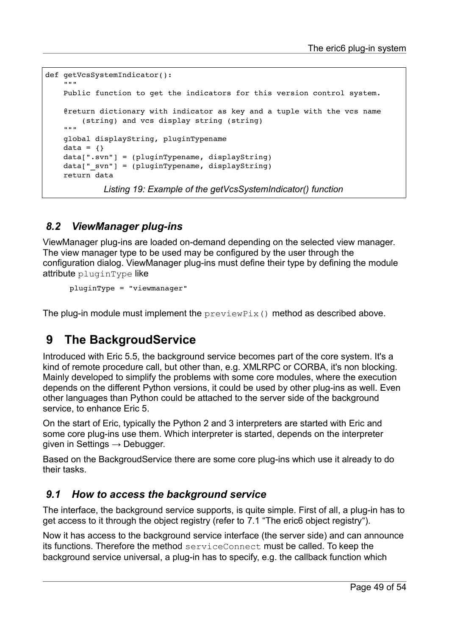```
def getVcsSystemIndicator():
""""""
        Public function to get the indicators for this version control system.
        @return dictionary with indicator as key and a tuple with the vcs name
                 (string) and vcs display string (string)
    """
        global displayString, pluginTypename
    data = \{\}    data[".svn"] = (pluginTypename, displayString)
        data["_svn"] = (pluginTypename, displayString)
        return data
              Listing 19: Example of the getVcsSystemIndicator() function
```
## <span id="page-48-0"></span> *8.2 ViewManager plug-ins*

ViewManager plug-ins are loaded on-demand depending on the selected view manager. The view manager type to be used may be configured by the user through the configuration dialog. ViewManager plug-ins must define their type by defining the module attribute pluginType like

pluginType = "viewmanager"

The plug-in module must implement the  $previewFix()$  method as described above.

# <span id="page-48-2"></span> **9 The BackgroudService**

Introduced with Eric 5.5, the background service becomes part of the core system. It's a kind of remote procedure call, but other than, e.g. XMLRPC or CORBA, it's non blocking. Mainly developed to simplify the problems with some core modules, where the execution depends on the different Python versions, it could be used by other plug-ins as well. Even other languages than Python could be attached to the server side of the background service, to enhance Eric 5.

On the start of Eric, typically the Python 2 and 3 interpreters are started with Eric and some core plug-ins use them. Which interpreter is started, depends on the interpreter given in Settings  $\rightarrow$  Debugger.

Based on the BackgroudService there are some core plug-ins which use it already to do their tasks.

#### <span id="page-48-1"></span> *9.1 How to access the background service*

The interface, the background service supports, is quite simple. First of all, a plug-in has to get access to it through the object registry (refer to [7.1 "The eric6 object registry"](#page-34-0)).

Now it has access to the background service interface (the server side) and can announce its functions. Therefore the method serviceConnect must be called. To keep the background service universal, a plug-in has to specify, e.g. the callback function which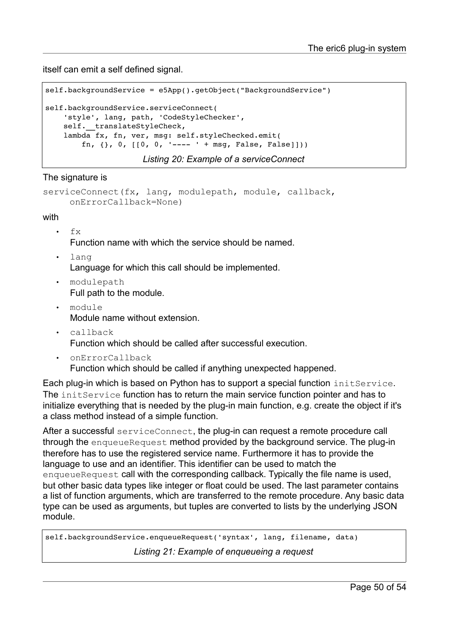itself can emit a self defined signal.

```
self.backgroundService = e5App().getObject("BackgroundService")
self.backgroundService.serviceConnect(
        'style', lang, path, 'CodeStyleChecker',
    self. translateStyleCheck,
        lambda fx, fn, ver, msg: self.styleChecked.emit(
        fn, \{ \}, 0, [(0, 0, '----- ' + msg, False, False)])
```
*Listing 20: Example of a serviceConnect*

The signature is

```
serviceConnect(fx, lang, modulepath, module, callback, 
    onErrorCallback=None)
```
with

- fx Function name with which the service should be named.
- lang Language for which this call should be implemented.
- modulepath Full path to the module.
- module Module name without extension.
- callback Function which should be called after successful execution.
- onErrorCallback
	- Function which should be called if anything unexpected happened.

Each plug-in which is based on Python has to support a special function initService. The initService function has to return the main service function pointer and has to initialize everything that is needed by the plug-in main function, e.g. create the object if it's a class method instead of a simple function.

After a successful serviceConnect, the plug-in can request a remote procedure call through the enqueueRequest method provided by the background service. The plug-in therefore has to use the registered service name. Furthermore it has to provide the language to use and an identifier. This identifier can be used to match the enqueueRequest call with the corresponding callback. Typically the file name is used. but other basic data types like integer or float could be used. The last parameter contains a list of function arguments, which are transferred to the remote procedure. Any basic data type can be used as arguments, but tuples are converted to lists by the underlying JSON module.

self.backgroundService.enqueueRequest('syntax', lang, filename, data)

<span id="page-49-0"></span>*Listing 21: Example of enqueueing a request*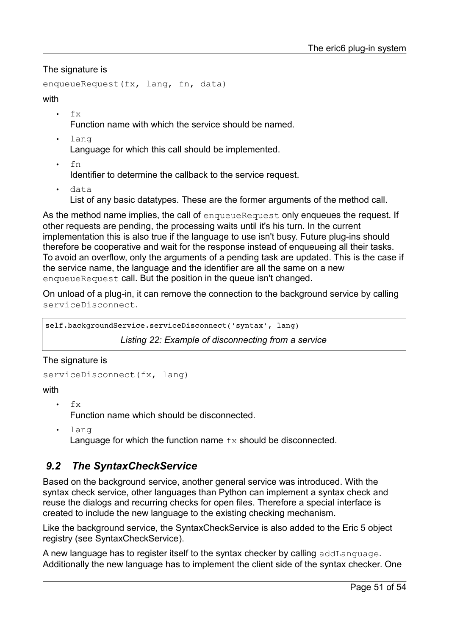The signature is

```
enqueueRequest(fx, lang, fn, data)
```
#### with

 $f_{X}$ 

Function name with which the service should be named.

lang

Language for which this call should be implemented.

• fn

Identifier to determine the callback to the service request.

data

List of any basic datatypes. These are the former arguments of the method call.

As the method name implies, the call of enqueueRequest only enqueues the request. If other requests are pending, the processing waits until it's his turn. In the current implementation this is also true if the language to use isn't busy. Future plug-ins should therefore be cooperative and wait for the response instead of enqueueing all their tasks. To avoid an overflow, only the arguments of a pending task are updated. This is the case if the service name, the language and the identifier are all the same on a new enqueueRequest call. But the position in the queue isn't changed.

On unload of a plug-in, it can remove the connection to the background service by calling serviceDisconnect.

self.backgroundService.serviceDisconnect('syntax', lang)

*Listing 22: Example of disconnecting from a service*

The signature is

```
serviceDisconnect(fx, lang)
```
#### with

• fx

Function name which should be disconnected.

• lang Language for which the function name  $f_x$  should be disconnected.

#### <span id="page-50-0"></span> *9.2 The SyntaxCheckService*

Based on the background service, another general service was introduced. With the syntax check service, other languages than Python can implement a syntax check and reuse the dialogs and recurring checks for open files. Therefore a special interface is created to include the new language to the existing checking mechanism.

Like the background service, the SyntaxCheckService is also added to the Eric 5 object registry (see [SyntaxCheckService\)](#page-35-0).

A new language has to register itself to the syntax checker by calling addLanguage. Additionally the new language has to implement the client side of the syntax checker. One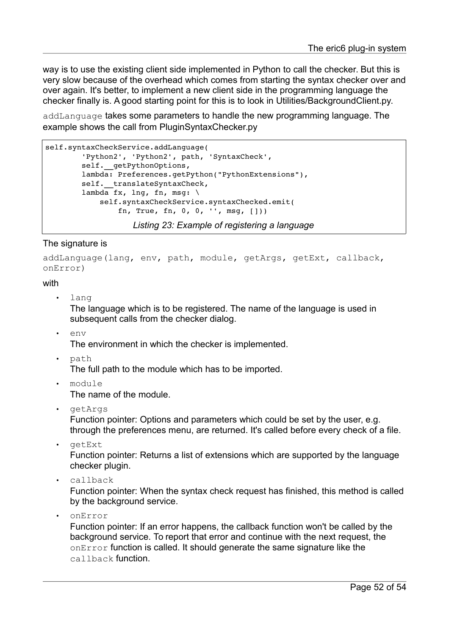way is to use the existing client side implemented in Python to call the checker. But this is very slow because of the overhead which comes from starting the syntax checker over and over again. It's better, to implement a new client side in the programming language the checker finally is. A good starting point for this is to look in Utilities/BackgroundClient.py.

addLanguage takes some parameters to handle the new programming language. The example shows the call from PluginSyntaxChecker.py

```
self.syntaxCheckService.addLanguage(
                 'Python2', 'Python2', path, 'SyntaxCheck',
         self. __ getPythonOptions,
                 lambda: Preferences.getPython("PythonExtensions"),
         self. translateSyntaxCheck,
         lambda fx, lng, fn, msg: \setminus            self.syntaxCheckService.syntaxChecked.emit(
                                   fn, True, fn, 0, 0, '', msg, []))
```
*Listing 23: Example of registering a language*

#### The signature is

addLanguage(lang, env, path, module, getArgs, getExt, callback, onError)

#### with

lang

The language which is to be registered. The name of the language is used in subsequent calls from the checker dialog.

eny

The environment in which the checker is implemented.

• path

The full path to the module which has to be imported.

• module

The name of the module.

- getArgs Function pointer: Options and parameters which could be set by the user, e.g. through the preferences menu, are returned. It's called before every check of a file.
- getExt

Function pointer: Returns a list of extensions which are supported by the language checker plugin.

• callback

Function pointer: When the syntax check request has finished, this method is called by the background service.

• onError

Function pointer: If an error happens, the callback function won't be called by the background service. To report that error and continue with the next request, the onError function is called. It should generate the same signature like the callback function.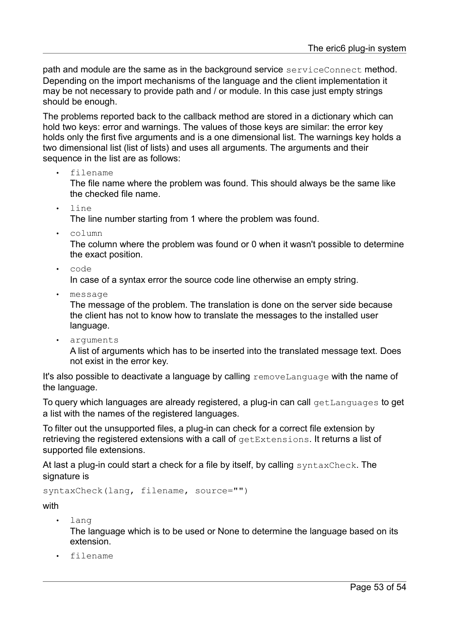path and module are the same as in the background service serviceConnect method. Depending on the import mechanisms of the language and the client implementation it may be not necessary to provide path and / or module. In this case just empty strings should be enough.

The problems reported back to the callback method are stored in a dictionary which can hold two keys: error and warnings. The values of those keys are similar: the error key holds only the first five arguments and is a one dimensional list. The warnings key holds a two dimensional list (list of lists) and uses all arguments. The arguments and their sequence in the list are as follows:

• filename

The file name where the problem was found. This should always be the same like the checked file name.

• line

The line number starting from 1 where the problem was found.

• column

The column where the problem was found or 0 when it wasn't possible to determine the exact position.

• code

In case of a syntax error the source code line otherwise an empty string.

• message

The message of the problem. The translation is done on the server side because the client has not to know how to translate the messages to the installed user language.

• arguments

A list of arguments which has to be inserted into the translated message text. Does not exist in the error key.

It's also possible to deactivate a language by calling removeLanguage with the name of the language.

To query which languages are already registered, a plug-in can call getLanguages to get a list with the names of the registered languages.

To filter out the unsupported files, a plug-in can check for a correct file extension by retrieving the registered extensions with a call of getExtensions. It returns a list of supported file extensions.

At last a plug-in could start a check for a file by itself, by calling syntaxCheck. The signature is

syntaxCheck(lang, filename, source="")

with

- lang The language which is to be used or None to determine the language based on its extension.
- filename